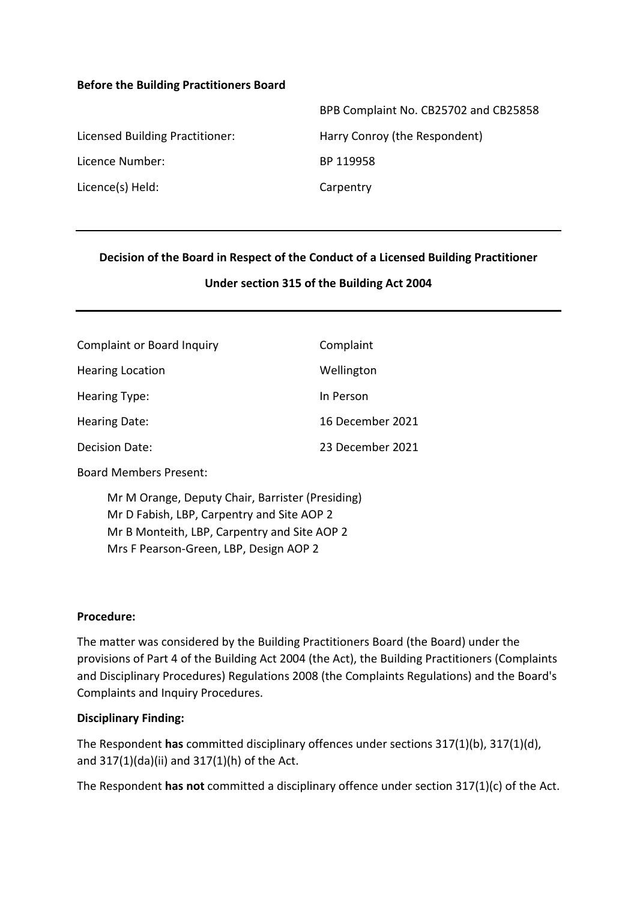#### **Before the Building Practitioners Board**

|                                 | BPB Complaint No. CB25702 and CB25858 |
|---------------------------------|---------------------------------------|
| Licensed Building Practitioner: | Harry Conroy (the Respondent)         |
| Licence Number:                 | BP 119958                             |
| Licence(s) Held:                | Carpentry                             |
|                                 |                                       |

#### **Decision of the Board in Respect of the Conduct of a Licensed Building Practitioner**

#### **Under section 315 of the Building Act 2004**

| <b>Complaint or Board Inquiry</b> | Complaint        |
|-----------------------------------|------------------|
| <b>Hearing Location</b>           | Wellington       |
| <b>Hearing Type:</b>              | In Person        |
| Hearing Date:                     | 16 December 2021 |
| <b>Decision Date:</b>             | 23 December 2021 |

Board Members Present:

Mr M Orange, Deputy Chair, Barrister (Presiding) Mr D Fabish, LBP, Carpentry and Site AOP 2 Mr B Monteith, LBP, Carpentry and Site AOP 2 Mrs F Pearson-Green, LBP, Design AOP 2

#### **Procedure:**

The matter was considered by the Building Practitioners Board (the Board) under the provisions of Part 4 of the Building Act 2004 (the Act), the Building Practitioners (Complaints and Disciplinary Procedures) Regulations 2008 (the Complaints Regulations) and the Board's Complaints and Inquiry Procedures.

#### **Disciplinary Finding:**

The Respondent **has** committed disciplinary offences under sections 317(1)(b), 317(1)(d), and 317(1)(da)(ii) and 317(1)(h) of the Act.

The Respondent **has not** committed a disciplinary offence under section 317(1)(c) of the Act.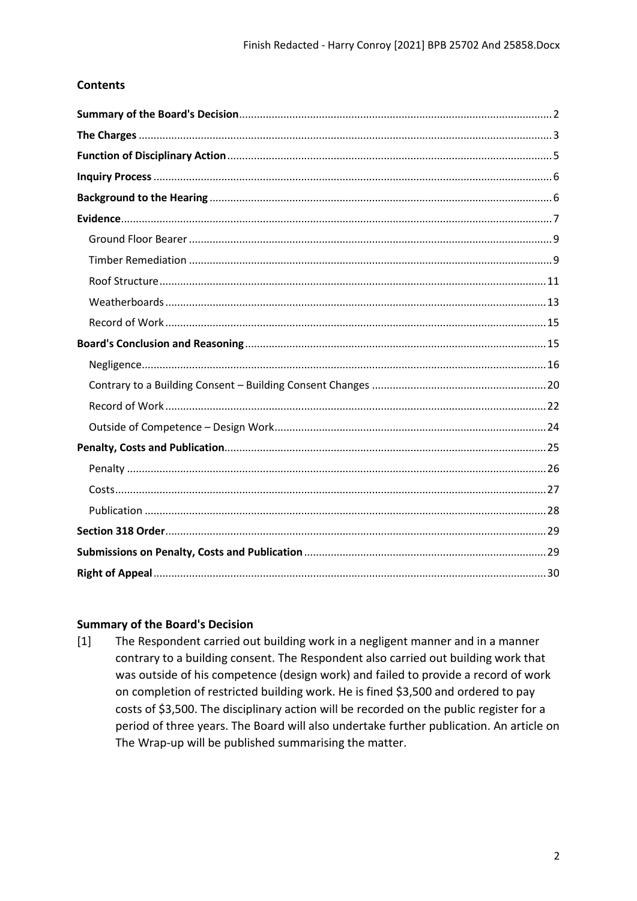## **Contents**

### <span id="page-1-0"></span>**Summary of the Board's Decision**

The Respondent carried out building work in a negligent manner and in a manner  $[1]$ contrary to a building consent. The Respondent also carried out building work that was outside of his competence (design work) and failed to provide a record of work on completion of restricted building work. He is fined \$3,500 and ordered to pay costs of \$3,500. The disciplinary action will be recorded on the public register for a period of three years. The Board will also undertake further publication. An article on The Wrap-up will be published summarising the matter.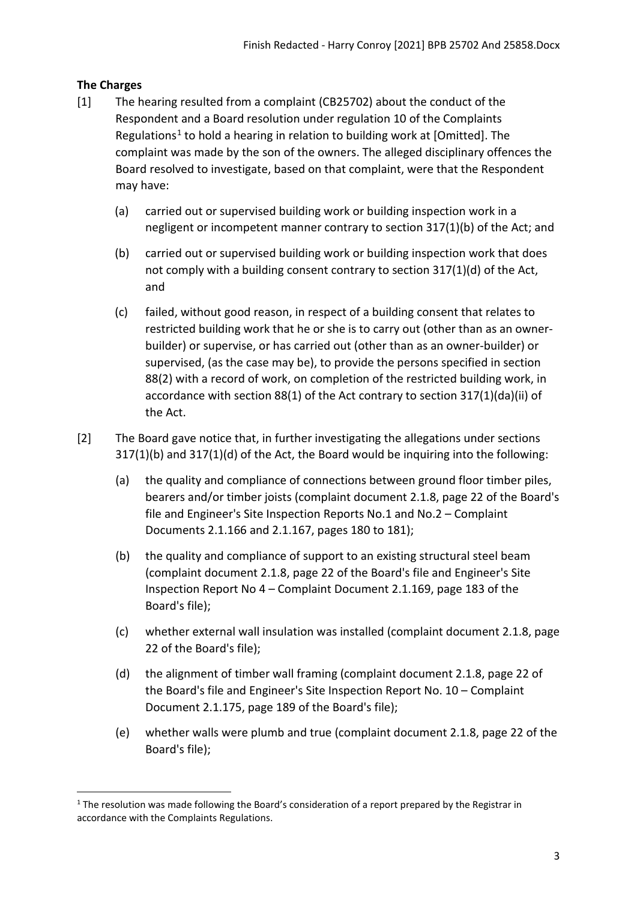## <span id="page-2-0"></span>**The Charges**

- [1] The hearing resulted from a complaint (CB25702) about the conduct of the Respondent and a Board resolution under regulation 10 of the Complaints Regulations<sup>[1](#page-2-1)</sup> to hold a hearing in relation to building work at [Omitted]. The complaint was made by the son of the owners. The alleged disciplinary offences the Board resolved to investigate, based on that complaint, were that the Respondent may have:
	- (a) carried out or supervised building work or building inspection work in a negligent or incompetent manner contrary to section 317(1)(b) of the Act; and
	- (b) carried out or supervised building work or building inspection work that does not comply with a building consent contrary to section 317(1)(d) of the Act, and
	- (c) failed, without good reason, in respect of a building consent that relates to restricted building work that he or she is to carry out (other than as an ownerbuilder) or supervise, or has carried out (other than as an owner-builder) or supervised, (as the case may be), to provide the persons specified in section 88(2) with a record of work, on completion of the restricted building work, in accordance with section 88(1) of the Act contrary to section 317(1)(da)(ii) of the Act.
- [2] The Board gave notice that, in further investigating the allegations under sections 317(1)(b) and 317(1)(d) of the Act, the Board would be inquiring into the following:
	- (a) the quality and compliance of connections between ground floor timber piles, bearers and/or timber joists (complaint document 2.1.8, page 22 of the Board's file and Engineer's Site Inspection Reports No.1 and No.2 – Complaint Documents 2.1.166 and 2.1.167, pages 180 to 181);
	- (b) the quality and compliance of support to an existing structural steel beam (complaint document 2.1.8, page 22 of the Board's file and Engineer's Site Inspection Report No 4 – Complaint Document 2.1.169, page 183 of the Board's file);
	- (c) whether external wall insulation was installed (complaint document 2.1.8, page 22 of the Board's file);
	- (d) the alignment of timber wall framing (complaint document 2.1.8, page 22 of the Board's file and Engineer's Site Inspection Report No. 10 – Complaint Document 2.1.175, page 189 of the Board's file);
	- (e) whether walls were plumb and true (complaint document 2.1.8, page 22 of the Board's file);

<span id="page-2-1"></span> $1$  The resolution was made following the Board's consideration of a report prepared by the Registrar in accordance with the Complaints Regulations.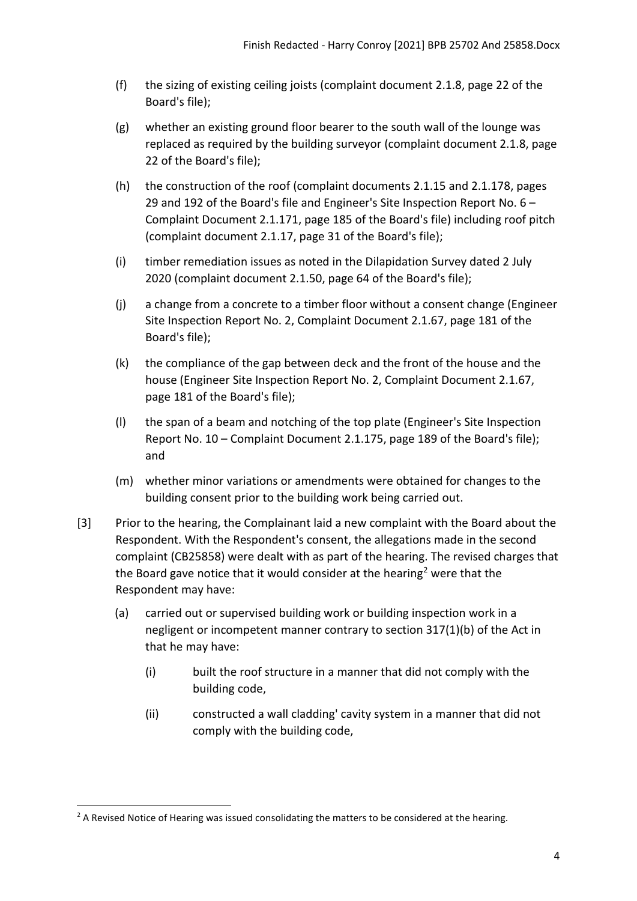- (f) the sizing of existing ceiling joists (complaint document 2.1.8, page 22 of the Board's file);
- (g) whether an existing ground floor bearer to the south wall of the lounge was replaced as required by the building surveyor (complaint document 2.1.8, page 22 of the Board's file);
- (h) the construction of the roof (complaint documents 2.1.15 and 2.1.178, pages 29 and 192 of the Board's file and Engineer's Site Inspection Report No. 6 – Complaint Document 2.1.171, page 185 of the Board's file) including roof pitch (complaint document 2.1.17, page 31 of the Board's file);
- (i) timber remediation issues as noted in the Dilapidation Survey dated 2 July 2020 (complaint document 2.1.50, page 64 of the Board's file);
- (j) a change from a concrete to a timber floor without a consent change (Engineer Site Inspection Report No. 2, Complaint Document 2.1.67, page 181 of the Board's file);
- (k) the compliance of the gap between deck and the front of the house and the house (Engineer Site Inspection Report No. 2, Complaint Document 2.1.67, page 181 of the Board's file);
- (l) the span of a beam and notching of the top plate (Engineer's Site Inspection Report No. 10 – Complaint Document 2.1.175, page 189 of the Board's file); and
- (m) whether minor variations or amendments were obtained for changes to the building consent prior to the building work being carried out.
- [3] Prior to the hearing, the Complainant laid a new complaint with the Board about the Respondent. With the Respondent's consent, the allegations made in the second complaint (CB25858) were dealt with as part of the hearing. The revised charges that the Board gave notice that it would consider at the hearing<sup>[2](#page-3-0)</sup> were that the Respondent may have:
	- (a) carried out or supervised building work or building inspection work in a negligent or incompetent manner contrary to section 317(1)(b) of the Act in that he may have:
		- (i) built the roof structure in a manner that did not comply with the building code,
		- (ii) constructed a wall cladding' cavity system in a manner that did not comply with the building code,

<span id="page-3-0"></span> $2$  A Revised Notice of Hearing was issued consolidating the matters to be considered at the hearing.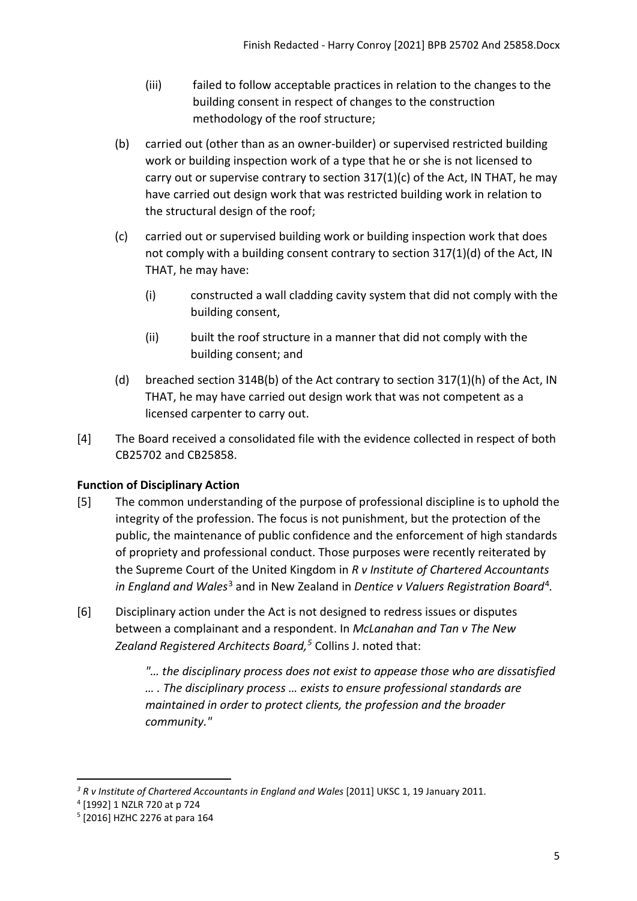- (iii) failed to follow acceptable practices in relation to the changes to the building consent in respect of changes to the construction methodology of the roof structure;
- (b) carried out (other than as an owner-builder) or supervised restricted building work or building inspection work of a type that he or she is not licensed to carry out or supervise contrary to section 317(1)(c) of the Act, IN THAT, he may have carried out design work that was restricted building work in relation to the structural design of the roof;
- (c) carried out or supervised building work or building inspection work that does not comply with a building consent contrary to section 317(1)(d) of the Act, IN THAT, he may have:
	- (i) constructed a wall cladding cavity system that did not comply with the building consent,
	- (ii) built the roof structure in a manner that did not comply with the building consent; and
- (d) breached section 314B(b) of the Act contrary to section 317(1)(h) of the Act, IN THAT, he may have carried out design work that was not competent as a licensed carpenter to carry out.
- [4] The Board received a consolidated file with the evidence collected in respect of both CB25702 and CB25858.

# <span id="page-4-0"></span>**Function of Disciplinary Action**

- [5] The common understanding of the purpose of professional discipline is to uphold the integrity of the profession. The focus is not punishment, but the protection of the public, the maintenance of public confidence and the enforcement of high standards of propriety and professional conduct. Those purposes were recently reiterated by the Supreme Court of the United Kingdom in *R v Institute of Chartered Accountants in England and Wales*[3](#page-4-1) and in New Zealand in *Dentice v Valuers Registration Board*[4](#page-4-2)*.*
- [6] Disciplinary action under the Act is not designed to redress issues or disputes between a complainant and a respondent. In *McLanahan and Tan v The New Zealand Registered Architects Board, [5](#page-4-3)* Collins J. noted that:

*"… the disciplinary process does not exist to appease those who are dissatisfied … . The disciplinary process … exists to ensure professional standards are maintained in order to protect clients, the profession and the broader community."* 

<span id="page-4-1"></span><sup>&</sup>lt;sup>3</sup> R v Institute of Chartered Accountants in England and Wales [2011] UKSC 1, 19 January 2011.

<span id="page-4-2"></span><sup>4</sup> [1992] 1 NZLR 720 at p 724

<span id="page-4-3"></span><sup>5</sup> [2016] HZHC 2276 at para 164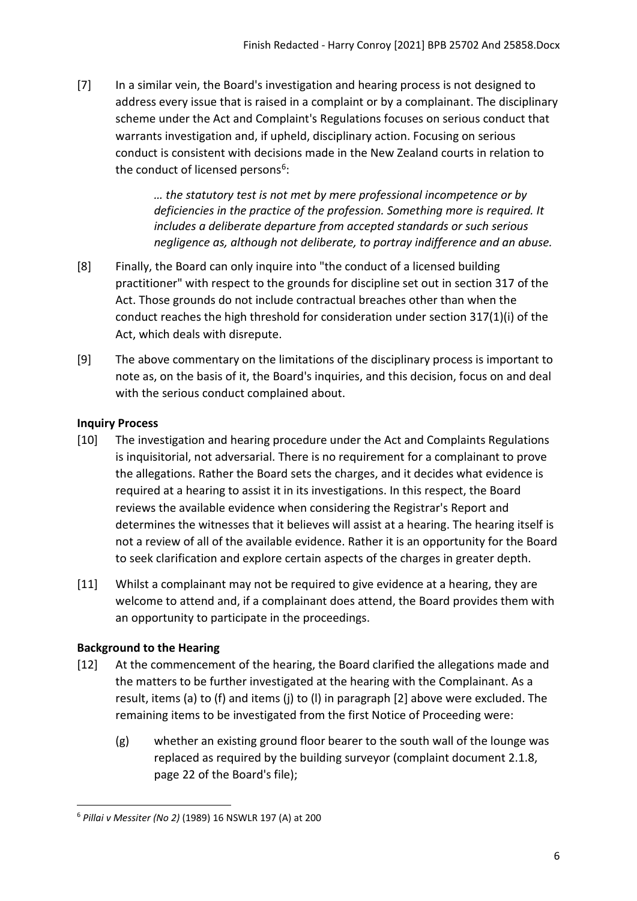[7] In a similar vein, the Board's investigation and hearing process is not designed to address every issue that is raised in a complaint or by a complainant. The disciplinary scheme under the Act and Complaint's Regulations focuses on serious conduct that warrants investigation and, if upheld, disciplinary action. Focusing on serious conduct is consistent with decisions made in the New Zealand courts in relation to the conduct of licensed persons<sup>[6](#page-5-2)</sup>:

> *… the statutory test is not met by mere professional incompetence or by deficiencies in the practice of the profession. Something more is required. It includes a deliberate departure from accepted standards or such serious negligence as, although not deliberate, to portray indifference and an abuse.*

- [8] Finally, the Board can only inquire into "the conduct of a licensed building practitioner" with respect to the grounds for discipline set out in section 317 of the Act. Those grounds do not include contractual breaches other than when the conduct reaches the high threshold for consideration under section 317(1)(i) of the Act, which deals with disrepute.
- [9] The above commentary on the limitations of the disciplinary process is important to note as, on the basis of it, the Board's inquiries, and this decision, focus on and deal with the serious conduct complained about.

## <span id="page-5-0"></span>**Inquiry Process**

- [10] The investigation and hearing procedure under the Act and Complaints Regulations is inquisitorial, not adversarial. There is no requirement for a complainant to prove the allegations. Rather the Board sets the charges, and it decides what evidence is required at a hearing to assist it in its investigations. In this respect, the Board reviews the available evidence when considering the Registrar's Report and determines the witnesses that it believes will assist at a hearing. The hearing itself is not a review of all of the available evidence. Rather it is an opportunity for the Board to seek clarification and explore certain aspects of the charges in greater depth.
- [11] Whilst a complainant may not be required to give evidence at a hearing, they are welcome to attend and, if a complainant does attend, the Board provides them with an opportunity to participate in the proceedings.

# <span id="page-5-1"></span>**Background to the Hearing**

- [12] At the commencement of the hearing, the Board clarified the allegations made and the matters to be further investigated at the hearing with the Complainant. As a result, items (a) to (f) and items (j) to (l) in paragraph [2] above were excluded. The remaining items to be investigated from the first Notice of Proceeding were:
	- (g) whether an existing ground floor bearer to the south wall of the lounge was replaced as required by the building surveyor (complaint document 2.1.8, page 22 of the Board's file);

<span id="page-5-2"></span><sup>6</sup> *Pillai v Messiter (No 2)* (1989) 16 NSWLR 197 (A) at 200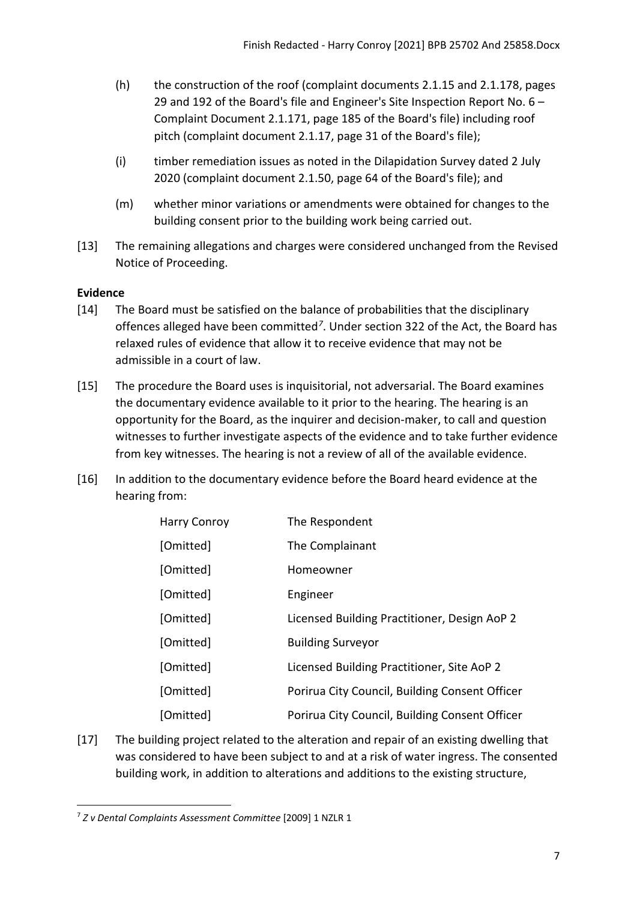- (h) the construction of the roof (complaint documents 2.1.15 and 2.1.178, pages 29 and 192 of the Board's file and Engineer's Site Inspection Report No. 6 – Complaint Document 2.1.171, page 185 of the Board's file) including roof pitch (complaint document 2.1.17, page 31 of the Board's file);
- (i) timber remediation issues as noted in the Dilapidation Survey dated 2 July 2020 (complaint document 2.1.50, page 64 of the Board's file); and
- (m) whether minor variations or amendments were obtained for changes to the building consent prior to the building work being carried out.
- [13] The remaining allegations and charges were considered unchanged from the Revised Notice of Proceeding.

# <span id="page-6-0"></span>**Evidence**

- [14] The Board must be satisfied on the balance of probabilities that the disciplinary offences alleged have been committed*[7](#page-6-1)*. Under section 322 of the Act, the Board has relaxed rules of evidence that allow it to receive evidence that may not be admissible in a court of law.
- [15] The procedure the Board uses is inquisitorial, not adversarial. The Board examines the documentary evidence available to it prior to the hearing. The hearing is an opportunity for the Board, as the inquirer and decision-maker, to call and question witnesses to further investigate aspects of the evidence and to take further evidence from key witnesses. The hearing is not a review of all of the available evidence.
- [16] In addition to the documentary evidence before the Board heard evidence at the hearing from:

| <b>Harry Conroy</b> | The Respondent                                 |
|---------------------|------------------------------------------------|
| [Omitted]           | The Complainant                                |
| [Omitted]           | Homeowner                                      |
| [Omitted]           | Engineer                                       |
| [Omitted]           | Licensed Building Practitioner, Design AoP 2   |
| [Omitted]           | <b>Building Surveyor</b>                       |
| [Omitted]           | Licensed Building Practitioner, Site AoP 2     |
| [Omitted]           | Porirua City Council, Building Consent Officer |
| [Omitted]           | Porirua City Council, Building Consent Officer |

[17] The building project related to the alteration and repair of an existing dwelling that was considered to have been subject to and at a risk of water ingress. The consented building work, in addition to alterations and additions to the existing structure,

<span id="page-6-1"></span><sup>7</sup> *Z v Dental Complaints Assessment Committee* [2009] 1 NZLR 1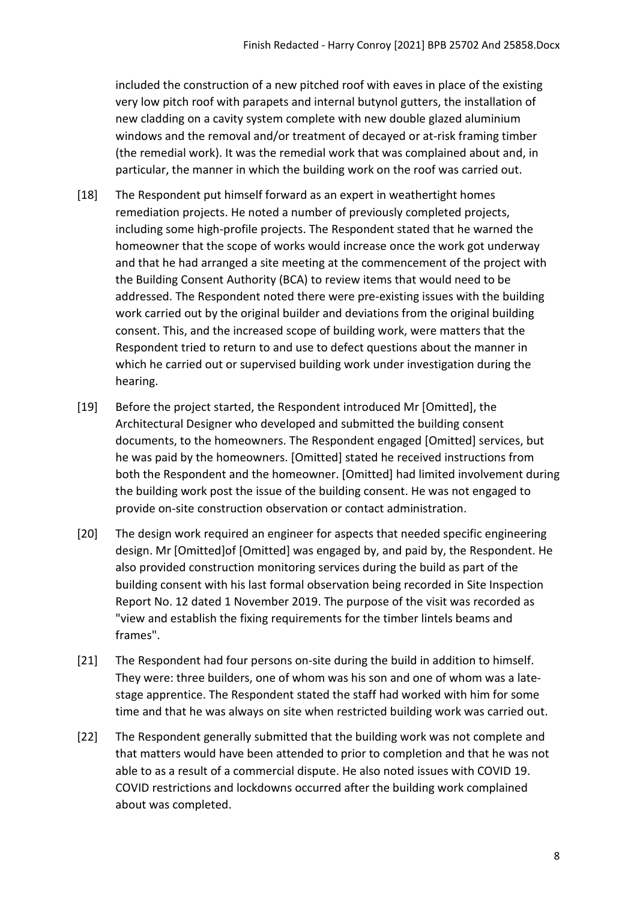included the construction of a new pitched roof with eaves in place of the existing very low pitch roof with parapets and internal butynol gutters, the installation of new cladding on a cavity system complete with new double glazed aluminium windows and the removal and/or treatment of decayed or at-risk framing timber (the remedial work). It was the remedial work that was complained about and, in particular, the manner in which the building work on the roof was carried out.

- [18] The Respondent put himself forward as an expert in weathertight homes remediation projects. He noted a number of previously completed projects, including some high-profile projects. The Respondent stated that he warned the homeowner that the scope of works would increase once the work got underway and that he had arranged a site meeting at the commencement of the project with the Building Consent Authority (BCA) to review items that would need to be addressed. The Respondent noted there were pre-existing issues with the building work carried out by the original builder and deviations from the original building consent. This, and the increased scope of building work, were matters that the Respondent tried to return to and use to defect questions about the manner in which he carried out or supervised building work under investigation during the hearing.
- [19] Before the project started, the Respondent introduced Mr [Omitted], the Architectural Designer who developed and submitted the building consent documents, to the homeowners. The Respondent engaged [Omitted] services, but he was paid by the homeowners. [Omitted] stated he received instructions from both the Respondent and the homeowner. [Omitted] had limited involvement during the building work post the issue of the building consent. He was not engaged to provide on-site construction observation or contact administration.
- [20] The design work required an engineer for aspects that needed specific engineering design. Mr [Omitted]of [Omitted] was engaged by, and paid by, the Respondent. He also provided construction monitoring services during the build as part of the building consent with his last formal observation being recorded in Site Inspection Report No. 12 dated 1 November 2019. The purpose of the visit was recorded as "view and establish the fixing requirements for the timber lintels beams and frames".
- [21] The Respondent had four persons on-site during the build in addition to himself. They were: three builders, one of whom was his son and one of whom was a latestage apprentice. The Respondent stated the staff had worked with him for some time and that he was always on site when restricted building work was carried out.
- [22] The Respondent generally submitted that the building work was not complete and that matters would have been attended to prior to completion and that he was not able to as a result of a commercial dispute. He also noted issues with COVID 19. COVID restrictions and lockdowns occurred after the building work complained about was completed.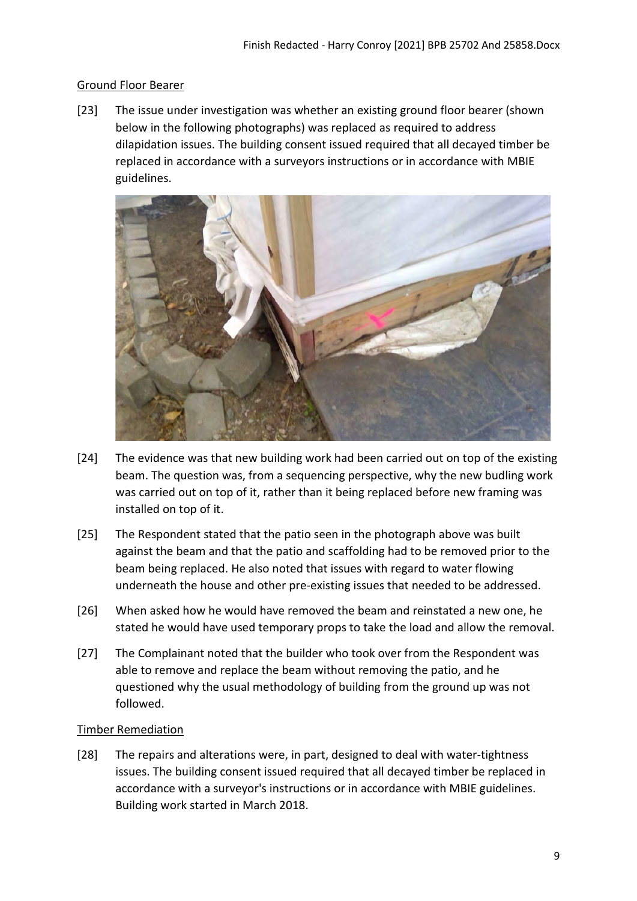### <span id="page-8-0"></span>Ground Floor Bearer

[23] The issue under investigation was whether an existing ground floor bearer (shown below in the following photographs) was replaced as required to address dilapidation issues. The building consent issued required that all decayed timber be replaced in accordance with a surveyors instructions or in accordance with MBIE guidelines.



- [24] The evidence was that new building work had been carried out on top of the existing beam. The question was, from a sequencing perspective, why the new budling work was carried out on top of it, rather than it being replaced before new framing was installed on top of it.
- [25] The Respondent stated that the patio seen in the photograph above was built against the beam and that the patio and scaffolding had to be removed prior to the beam being replaced. He also noted that issues with regard to water flowing underneath the house and other pre-existing issues that needed to be addressed.
- [26] When asked how he would have removed the beam and reinstated a new one, he stated he would have used temporary props to take the load and allow the removal.
- [27] The Complainant noted that the builder who took over from the Respondent was able to remove and replace the beam without removing the patio, and he questioned why the usual methodology of building from the ground up was not followed.

### <span id="page-8-1"></span>Timber Remediation

[28] The repairs and alterations were, in part, designed to deal with water-tightness issues. The building consent issued required that all decayed timber be replaced in accordance with a surveyor's instructions or in accordance with MBIE guidelines. Building work started in March 2018.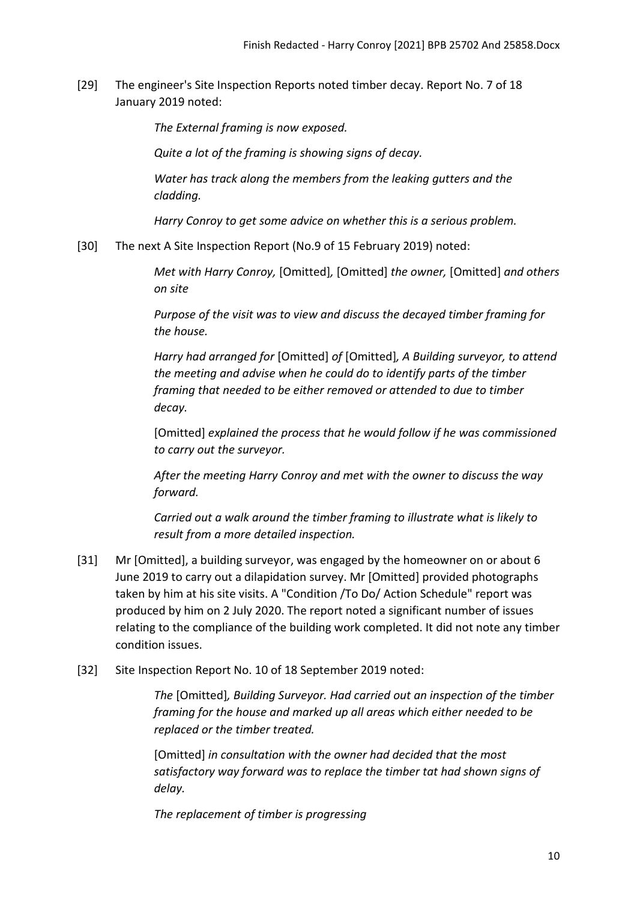[29] The engineer's Site Inspection Reports noted timber decay. Report No. 7 of 18 January 2019 noted:

*The External framing is now exposed.* 

*Quite a lot of the framing is showing signs of decay.* 

*Water has track along the members from the leaking gutters and the cladding.* 

*Harry Conroy to get some advice on whether this is a serious problem.* 

[30] The next A Site Inspection Report (No.9 of 15 February 2019) noted:

*Met with Harry Conroy,* [Omitted]*,* [Omitted] *the owner,* [Omitted] *and others on site*

*Purpose of the visit was to view and discuss the decayed timber framing for the house.*

*Harry had arranged for* [Omitted] *of* [Omitted]*, A Building surveyor, to attend the meeting and advise when he could do to identify parts of the timber framing that needed to be either removed or attended to due to timber decay.* 

[Omitted] *explained the process that he would follow if he was commissioned to carry out the surveyor.* 

*After the meeting Harry Conroy and met with the owner to discuss the way forward.* 

*Carried out a walk around the timber framing to illustrate what is likely to result from a more detailed inspection.* 

- [31] Mr [Omitted], a building surveyor, was engaged by the homeowner on or about 6 June 2019 to carry out a dilapidation survey. Mr [Omitted] provided photographs taken by him at his site visits. A "Condition /To Do/ Action Schedule" report was produced by him on 2 July 2020. The report noted a significant number of issues relating to the compliance of the building work completed. It did not note any timber condition issues.
- [32] Site Inspection Report No. 10 of 18 September 2019 noted:

*The* [Omitted]*, Building Surveyor. Had carried out an inspection of the timber framing for the house and marked up all areas which either needed to be replaced or the timber treated.* 

[Omitted] *in consultation with the owner had decided that the most satisfactory way forward was to replace the timber tat had shown signs of delay.* 

*The replacement of timber is progressing*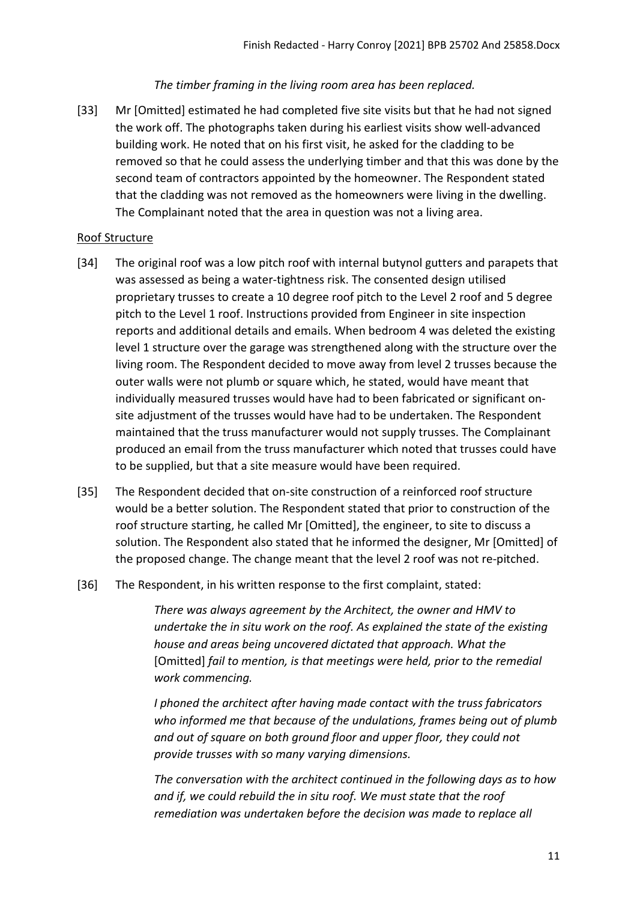#### *The timber framing in the living room area has been replaced.*

[33] Mr [Omitted] estimated he had completed five site visits but that he had not signed the work off. The photographs taken during his earliest visits show well-advanced building work. He noted that on his first visit, he asked for the cladding to be removed so that he could assess the underlying timber and that this was done by the second team of contractors appointed by the homeowner. The Respondent stated that the cladding was not removed as the homeowners were living in the dwelling. The Complainant noted that the area in question was not a living area.

#### <span id="page-10-0"></span>Roof Structure

- [34] The original roof was a low pitch roof with internal butynol gutters and parapets that was assessed as being a water-tightness risk. The consented design utilised proprietary trusses to create a 10 degree roof pitch to the Level 2 roof and 5 degree pitch to the Level 1 roof. Instructions provided from Engineer in site inspection reports and additional details and emails. When bedroom 4 was deleted the existing level 1 structure over the garage was strengthened along with the structure over the living room. The Respondent decided to move away from level 2 trusses because the outer walls were not plumb or square which, he stated, would have meant that individually measured trusses would have had to been fabricated or significant onsite adjustment of the trusses would have had to be undertaken. The Respondent maintained that the truss manufacturer would not supply trusses. The Complainant produced an email from the truss manufacturer which noted that trusses could have to be supplied, but that a site measure would have been required.
- [35] The Respondent decided that on-site construction of a reinforced roof structure would be a better solution. The Respondent stated that prior to construction of the roof structure starting, he called Mr [Omitted], the engineer, to site to discuss a solution. The Respondent also stated that he informed the designer, Mr [Omitted] of the proposed change. The change meant that the level 2 roof was not re-pitched.
- [36] The Respondent, in his written response to the first complaint, stated:

*There was always agreement by the Architect, the owner and HMV to undertake the in situ work on the roof. As explained the state of the existing house and areas being uncovered dictated that approach. What the*  [Omitted] *fail to mention, is that meetings were held, prior to the remedial work commencing.*

*I phoned the architect after having made contact with the truss fabricators who informed me that because of the undulations, frames being out of plumb and out of square on both ground floor and upper floor, they could not provide trusses with so many varying dimensions.* 

*The conversation with the architect continued in the following days as to how and if, we could rebuild the in situ roof. We must state that the roof remediation was undertaken before the decision was made to replace all*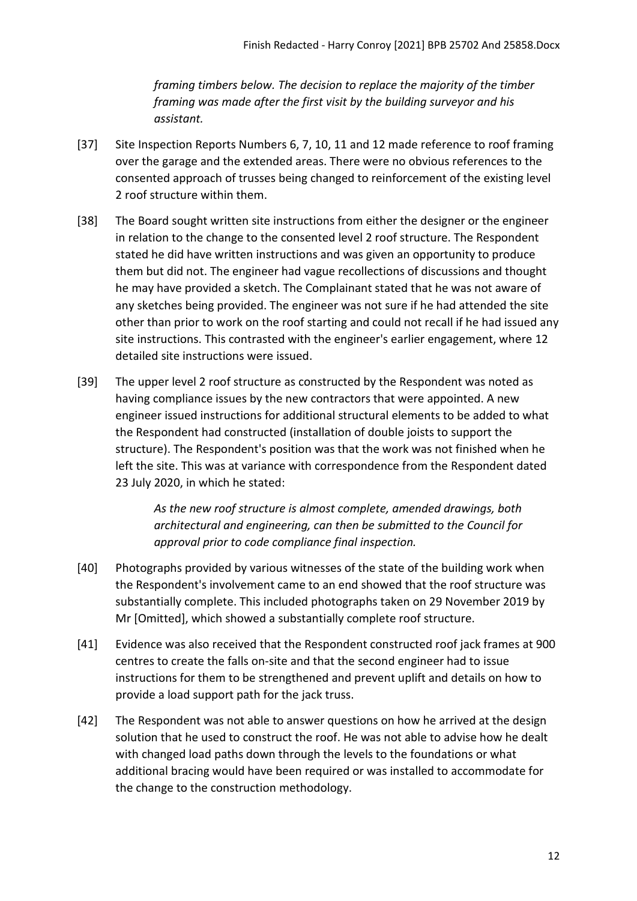*framing timbers below. The decision to replace the majority of the timber framing was made after the first visit by the building surveyor and his assistant.* 

- [37] Site Inspection Reports Numbers 6, 7, 10, 11 and 12 made reference to roof framing over the garage and the extended areas. There were no obvious references to the consented approach of trusses being changed to reinforcement of the existing level 2 roof structure within them.
- [38] The Board sought written site instructions from either the designer or the engineer in relation to the change to the consented level 2 roof structure. The Respondent stated he did have written instructions and was given an opportunity to produce them but did not. The engineer had vague recollections of discussions and thought he may have provided a sketch. The Complainant stated that he was not aware of any sketches being provided. The engineer was not sure if he had attended the site other than prior to work on the roof starting and could not recall if he had issued any site instructions. This contrasted with the engineer's earlier engagement, where 12 detailed site instructions were issued.
- [39] The upper level 2 roof structure as constructed by the Respondent was noted as having compliance issues by the new contractors that were appointed. A new engineer issued instructions for additional structural elements to be added to what the Respondent had constructed (installation of double joists to support the structure). The Respondent's position was that the work was not finished when he left the site. This was at variance with correspondence from the Respondent dated 23 July 2020, in which he stated:

*As the new roof structure is almost complete, amended drawings, both architectural and engineering, can then be submitted to the Council for approval prior to code compliance final inspection.* 

- [40] Photographs provided by various witnesses of the state of the building work when the Respondent's involvement came to an end showed that the roof structure was substantially complete. This included photographs taken on 29 November 2019 by Mr [Omitted], which showed a substantially complete roof structure.
- [41] Evidence was also received that the Respondent constructed roof jack frames at 900 centres to create the falls on-site and that the second engineer had to issue instructions for them to be strengthened and prevent uplift and details on how to provide a load support path for the jack truss.
- [42] The Respondent was not able to answer questions on how he arrived at the design solution that he used to construct the roof. He was not able to advise how he dealt with changed load paths down through the levels to the foundations or what additional bracing would have been required or was installed to accommodate for the change to the construction methodology.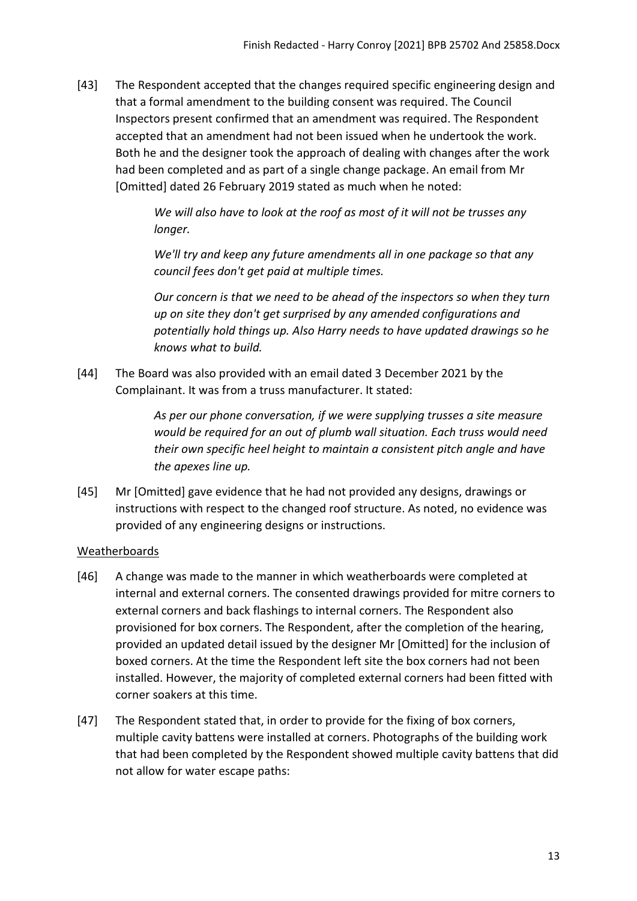[43] The Respondent accepted that the changes required specific engineering design and that a formal amendment to the building consent was required. The Council Inspectors present confirmed that an amendment was required. The Respondent accepted that an amendment had not been issued when he undertook the work. Both he and the designer took the approach of dealing with changes after the work had been completed and as part of a single change package. An email from Mr [Omitted] dated 26 February 2019 stated as much when he noted:

> *We will also have to look at the roof as most of it will not be trusses any longer.*

*We'll try and keep any future amendments all in one package so that any council fees don't get paid at multiple times.* 

*Our concern is that we need to be ahead of the inspectors so when they turn up on site they don't get surprised by any amended configurations and potentially hold things up. Also Harry needs to have updated drawings so he knows what to build.* 

[44] The Board was also provided with an email dated 3 December 2021 by the Complainant. It was from a truss manufacturer. It stated:

> *As per our phone conversation, if we were supplying trusses a site measure would be required for an out of plumb wall situation. Each truss would need their own specific heel height to maintain a consistent pitch angle and have the apexes line up.*

[45] Mr [Omitted] gave evidence that he had not provided any designs, drawings or instructions with respect to the changed roof structure. As noted, no evidence was provided of any engineering designs or instructions.

### <span id="page-12-0"></span>Weatherboards

- [46] A change was made to the manner in which weatherboards were completed at internal and external corners. The consented drawings provided for mitre corners to external corners and back flashings to internal corners. The Respondent also provisioned for box corners. The Respondent, after the completion of the hearing, provided an updated detail issued by the designer Mr [Omitted] for the inclusion of boxed corners. At the time the Respondent left site the box corners had not been installed. However, the majority of completed external corners had been fitted with corner soakers at this time.
- [47] The Respondent stated that, in order to provide for the fixing of box corners, multiple cavity battens were installed at corners. Photographs of the building work that had been completed by the Respondent showed multiple cavity battens that did not allow for water escape paths: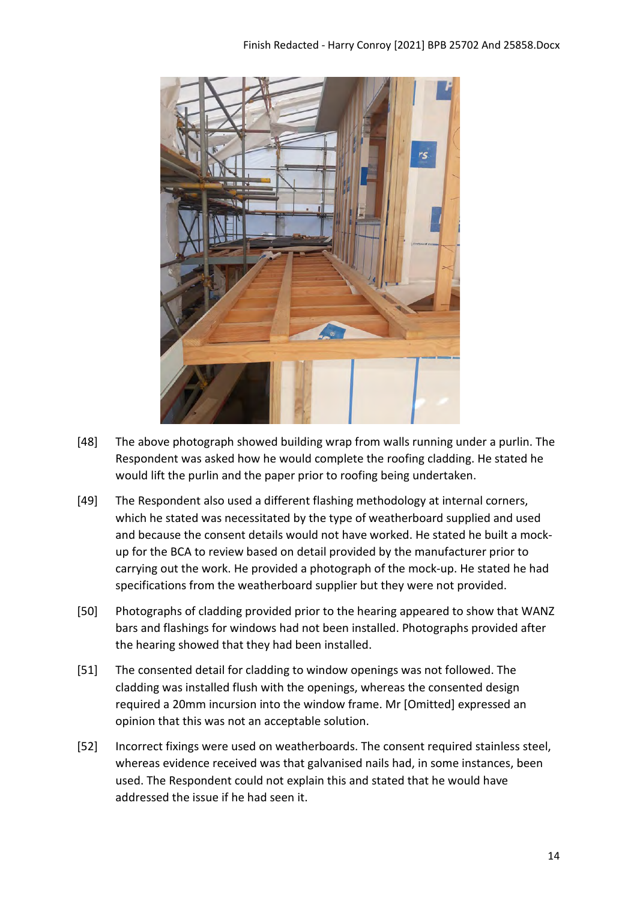

- [48] The above photograph showed building wrap from walls running under a purlin. The Respondent was asked how he would complete the roofing cladding. He stated he would lift the purlin and the paper prior to roofing being undertaken.
- [49] The Respondent also used a different flashing methodology at internal corners, which he stated was necessitated by the type of weatherboard supplied and used and because the consent details would not have worked. He stated he built a mockup for the BCA to review based on detail provided by the manufacturer prior to carrying out the work. He provided a photograph of the mock-up. He stated he had specifications from the weatherboard supplier but they were not provided.
- [50] Photographs of cladding provided prior to the hearing appeared to show that WANZ bars and flashings for windows had not been installed. Photographs provided after the hearing showed that they had been installed.
- [51] The consented detail for cladding to window openings was not followed. The cladding was installed flush with the openings, whereas the consented design required a 20mm incursion into the window frame. Mr [Omitted] expressed an opinion that this was not an acceptable solution.
- [52] Incorrect fixings were used on weatherboards. The consent required stainless steel, whereas evidence received was that galvanised nails had, in some instances, been used. The Respondent could not explain this and stated that he would have addressed the issue if he had seen it.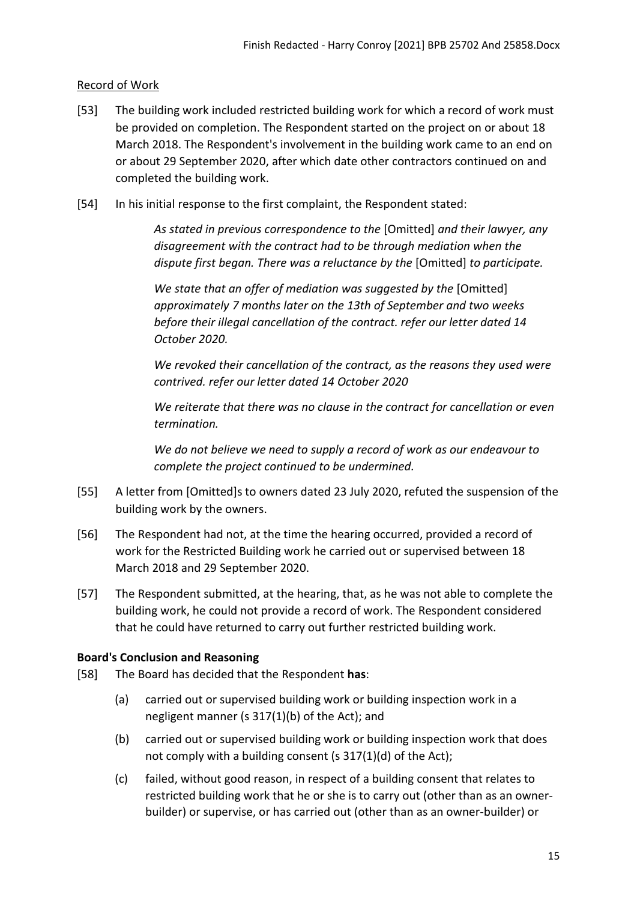### <span id="page-14-0"></span>Record of Work

- [53] The building work included restricted building work for which a record of work must be provided on completion. The Respondent started on the project on or about 18 March 2018. The Respondent's involvement in the building work came to an end on or about 29 September 2020, after which date other contractors continued on and completed the building work.
- [54] In his initial response to the first complaint, the Respondent stated:

*As stated in previous correspondence to the* [Omitted] *and their lawyer, any disagreement with the contract had to be through mediation when the dispute first began. There was a reluctance by the* [Omitted] *to participate.*

*We state that an offer of mediation was suggested by the* [Omitted] *approximately 7 months later on the 13th of September and two weeks before their illegal cancellation of the contract. refer our letter dated 14 October 2020.*

*We revoked their cancellation of the contract, as the reasons they used were contrived. refer our letter dated 14 October 2020*

*We reiterate that there was no clause in the contract for cancellation or even termination.*

*We do not believe we need to supply a record of work as our endeavour to complete the project continued to be undermined.*

- [55] A letter from [Omitted]s to owners dated 23 July 2020, refuted the suspension of the building work by the owners.
- [56] The Respondent had not, at the time the hearing occurred, provided a record of work for the Restricted Building work he carried out or supervised between 18 March 2018 and 29 September 2020.
- [57] The Respondent submitted, at the hearing, that, as he was not able to complete the building work, he could not provide a record of work. The Respondent considered that he could have returned to carry out further restricted building work.

### <span id="page-14-1"></span>**Board's Conclusion and Reasoning**

- [58] The Board has decided that the Respondent **has**:
	- (a) carried out or supervised building work or building inspection work in a negligent manner (s 317(1)(b) of the Act); and
	- (b) carried out or supervised building work or building inspection work that does not comply with a building consent (s 317(1)(d) of the Act);
	- (c) failed, without good reason, in respect of a building consent that relates to restricted building work that he or she is to carry out (other than as an ownerbuilder) or supervise, or has carried out (other than as an owner-builder) or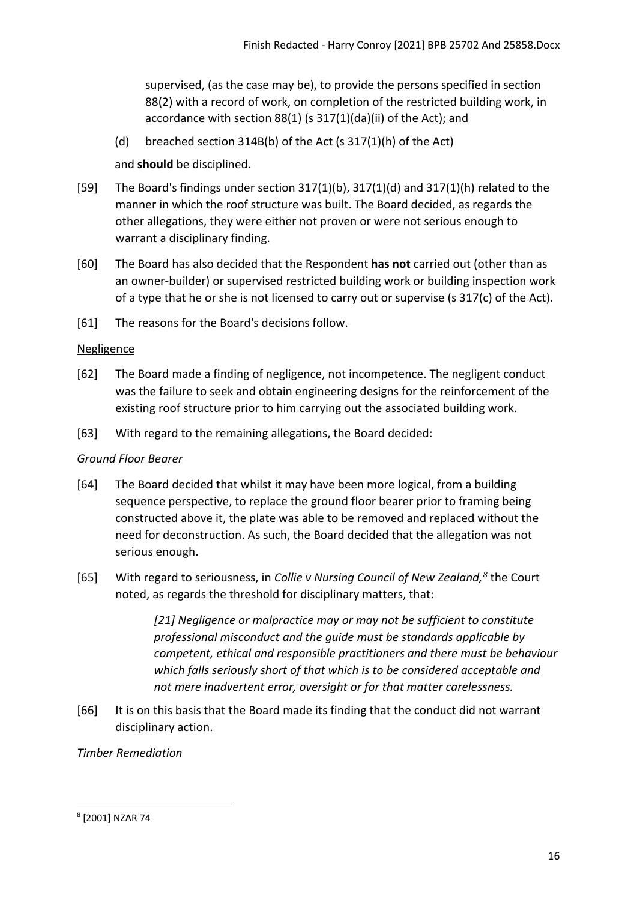supervised, (as the case may be), to provide the persons specified in section 88(2) with a record of work, on completion of the restricted building work, in accordance with section 88(1) (s 317(1)(da)(ii) of the Act); and

(d) breached section 314B(b) of the Act (s 317(1)(h) of the Act)

and **should** be disciplined.

- [59] The Board's findings under section 317(1)(b), 317(1)(d) and 317(1)(h) related to the manner in which the roof structure was built. The Board decided, as regards the other allegations, they were either not proven or were not serious enough to warrant a disciplinary finding.
- [60] The Board has also decided that the Respondent **has not** carried out (other than as an owner-builder) or supervised restricted building work or building inspection work of a type that he or she is not licensed to carry out or supervise (s 317(c) of the Act).
- [61] The reasons for the Board's decisions follow.

## <span id="page-15-0"></span>**Negligence**

- [62] The Board made a finding of negligence, not incompetence. The negligent conduct was the failure to seek and obtain engineering designs for the reinforcement of the existing roof structure prior to him carrying out the associated building work.
- [63] With regard to the remaining allegations, the Board decided:

# *Ground Floor Bearer*

- [64] The Board decided that whilst it may have been more logical, from a building sequence perspective, to replace the ground floor bearer prior to framing being constructed above it, the plate was able to be removed and replaced without the need for deconstruction. As such, the Board decided that the allegation was not serious enough.
- [65] With regard to seriousness, in *Collie v Nursing Council of New Zealand, [8](#page-15-1)* the Court noted, as regards the threshold for disciplinary matters, that:

*[21] Negligence or malpractice may or may not be sufficient to constitute professional misconduct and the guide must be standards applicable by competent, ethical and responsible practitioners and there must be behaviour which falls seriously short of that which is to be considered acceptable and not mere inadvertent error, oversight or for that matter carelessness.*

[66] It is on this basis that the Board made its finding that the conduct did not warrant disciplinary action.

### *Timber Remediation*

<span id="page-15-1"></span><sup>8</sup> [2001] NZAR 74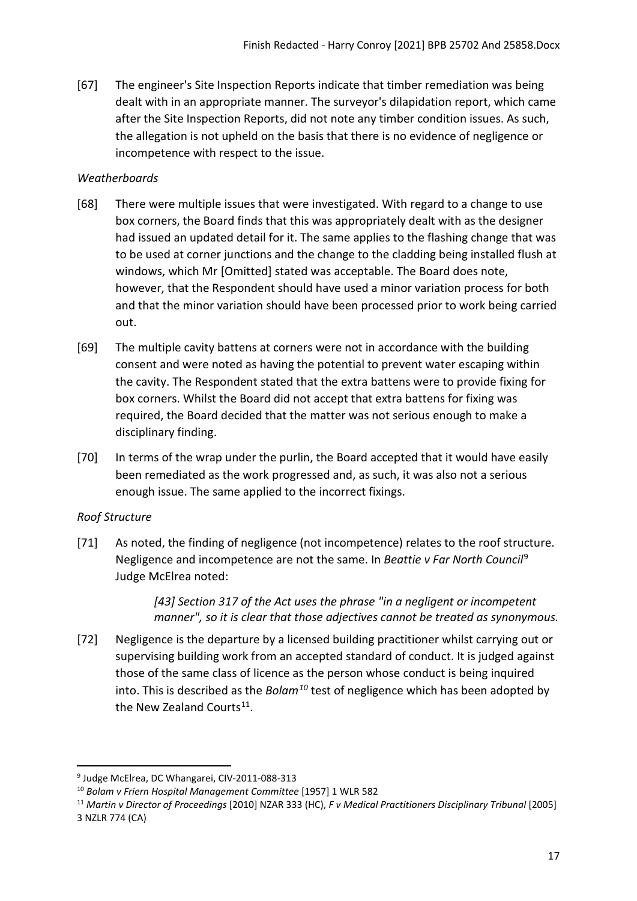[67] The engineer's Site Inspection Reports indicate that timber remediation was being dealt with in an appropriate manner. The surveyor's dilapidation report, which came after the Site Inspection Reports, did not note any timber condition issues. As such, the allegation is not upheld on the basis that there is no evidence of negligence or incompetence with respect to the issue.

### *Weatherboards*

- [68] There were multiple issues that were investigated. With regard to a change to use box corners, the Board finds that this was appropriately dealt with as the designer had issued an updated detail for it. The same applies to the flashing change that was to be used at corner junctions and the change to the cladding being installed flush at windows, which Mr [Omitted] stated was acceptable. The Board does note, however, that the Respondent should have used a minor variation process for both and that the minor variation should have been processed prior to work being carried out.
- [69] The multiple cavity battens at corners were not in accordance with the building consent and were noted as having the potential to prevent water escaping within the cavity. The Respondent stated that the extra battens were to provide fixing for box corners. Whilst the Board did not accept that extra battens for fixing was required, the Board decided that the matter was not serious enough to make a disciplinary finding.
- [70] In terms of the wrap under the purlin, the Board accepted that it would have easily been remediated as the work progressed and, as such, it was also not a serious enough issue. The same applied to the incorrect fixings.

### *Roof Structure*

[71] As noted, the finding of negligence (not incompetence) relates to the roof structure. Negligence and incompetence are not the same. In *Beattie v Far North Council*[9](#page-16-0) Judge McElrea noted:

> *[43] Section 317 of the Act uses the phrase "in a negligent or incompetent manner", so it is clear that those adjectives cannot be treated as synonymous.*

[72] Negligence is the departure by a licensed building practitioner whilst carrying out or supervising building work from an accepted standard of conduct. It is judged against those of the same class of licence as the person whose conduct is being inquired into. This is described as the *Bolam[10](#page-16-1)* test of negligence which has been adopted by the New Zealand Courts<sup>11</sup>.

<span id="page-16-0"></span><sup>&</sup>lt;sup>9</sup> Judge McElrea, DC Whangarei, CIV-2011-088-313

<span id="page-16-1"></span><sup>10</sup> *Bolam v Friern Hospital Management Committee* [1957] 1 WLR 582

<span id="page-16-2"></span><sup>11</sup> *Martin v Director of Proceedings* [2010] NZAR 333 (HC), *F v Medical Practitioners Disciplinary Tribunal* [2005] 3 NZLR 774 (CA)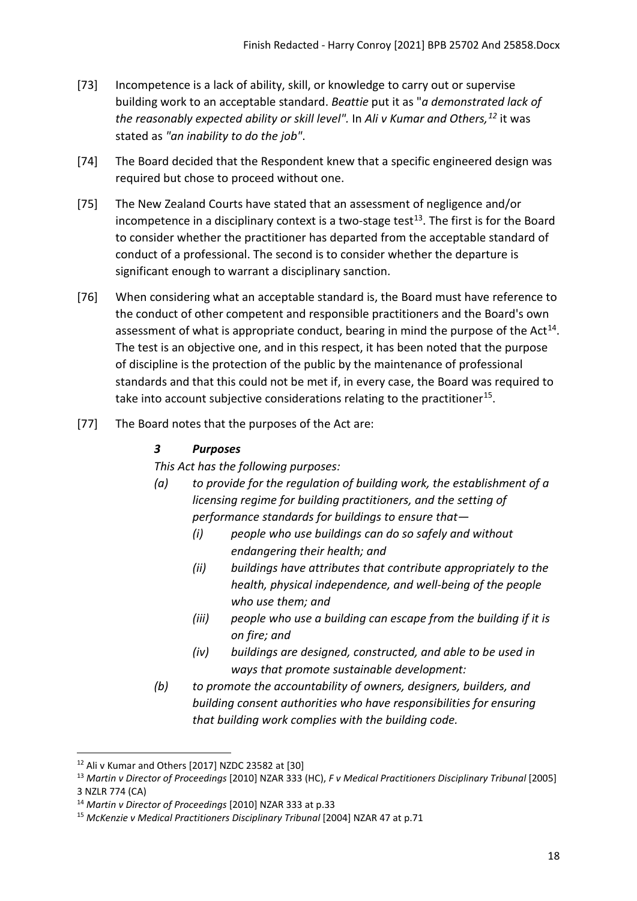- [73] Incompetence is a lack of ability, skill, or knowledge to carry out or supervise building work to an acceptable standard. *Beattie* put it as "*a demonstrated lack of the reasonably expected ability or skill level".* In *Ali v Kumar and Others, [12](#page-17-0)* it was stated as *"an inability to do the job"*.
- [74] The Board decided that the Respondent knew that a specific engineered design was required but chose to proceed without one.
- [75] The New Zealand Courts have stated that an assessment of negligence and/or incompetence in a disciplinary context is a two-stage test<sup>[13](#page-17-1)</sup>. The first is for the Board to consider whether the practitioner has departed from the acceptable standard of conduct of a professional. The second is to consider whether the departure is significant enough to warrant a disciplinary sanction.
- [76] When considering what an acceptable standard is, the Board must have reference to the conduct of other competent and responsible practitioners and the Board's own assessment of what is appropriate conduct, bearing in mind the purpose of the  $Act^{14}$  $Act^{14}$  $Act^{14}$ . The test is an objective one, and in this respect, it has been noted that the purpose of discipline is the protection of the public by the maintenance of professional standards and that this could not be met if, in every case, the Board was required to take into account subjective considerations relating to the practitioner<sup>[15](#page-17-3)</sup>.
- [77] The Board notes that the purposes of the Act are:

## *3 Purposes*

*This Act has the following purposes:*

- *(a) to provide for the regulation of building work, the establishment of a licensing regime for building practitioners, and the setting of performance standards for buildings to ensure that—* 
	- *(i) people who use buildings can do so safely and without endangering their health; and*
	- *(ii) buildings have attributes that contribute appropriately to the health, physical independence, and well-being of the people who use them; and*
	- *(iii) people who use a building can escape from the building if it is on fire; and*
	- *(iv) buildings are designed, constructed, and able to be used in ways that promote sustainable development:*
- *(b) to promote the accountability of owners, designers, builders, and building consent authorities who have responsibilities for ensuring that building work complies with the building code.*

<span id="page-17-0"></span><sup>12</sup> Ali v Kumar and Others [2017] NZDC 23582 at [30]

<span id="page-17-1"></span><sup>13</sup> *Martin v Director of Proceedings* [2010] NZAR 333 (HC), *F v Medical Practitioners Disciplinary Tribunal* [2005] 3 NZLR 774 (CA)

<span id="page-17-2"></span><sup>14</sup> *Martin v Director of Proceedings* [2010] NZAR 333 at p.33

<span id="page-17-3"></span><sup>15</sup> *McKenzie v Medical Practitioners Disciplinary Tribunal* [2004] NZAR 47 at p.71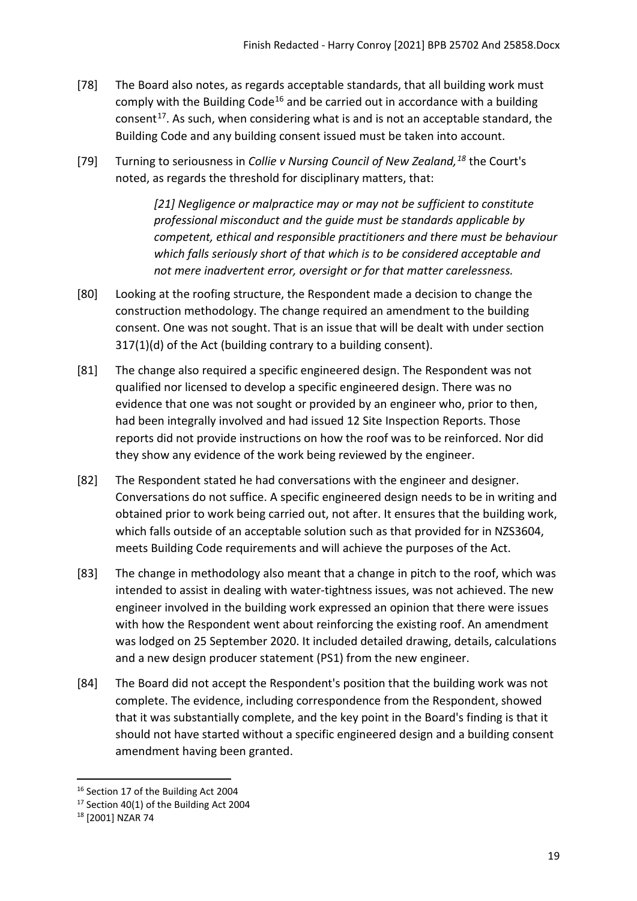- [78] The Board also notes, as regards acceptable standards, that all building work must comply with the Building Code<sup>[16](#page-18-0)</sup> and be carried out in accordance with a building consent<sup>[17](#page-18-1)</sup>. As such, when considering what is and is not an acceptable standard, the Building Code and any building consent issued must be taken into account.
- [79] Turning to seriousness in *Collie v Nursing Council of New Zealand, [18](#page-18-2)* the Court's noted, as regards the threshold for disciplinary matters, that:

*[21] Negligence or malpractice may or may not be sufficient to constitute professional misconduct and the guide must be standards applicable by competent, ethical and responsible practitioners and there must be behaviour which falls seriously short of that which is to be considered acceptable and not mere inadvertent error, oversight or for that matter carelessness.*

- [80] Looking at the roofing structure, the Respondent made a decision to change the construction methodology. The change required an amendment to the building consent. One was not sought. That is an issue that will be dealt with under section 317(1)(d) of the Act (building contrary to a building consent).
- [81] The change also required a specific engineered design. The Respondent was not qualified nor licensed to develop a specific engineered design. There was no evidence that one was not sought or provided by an engineer who, prior to then, had been integrally involved and had issued 12 Site Inspection Reports. Those reports did not provide instructions on how the roof was to be reinforced. Nor did they show any evidence of the work being reviewed by the engineer.
- [82] The Respondent stated he had conversations with the engineer and designer. Conversations do not suffice. A specific engineered design needs to be in writing and obtained prior to work being carried out, not after. It ensures that the building work, which falls outside of an acceptable solution such as that provided for in NZS3604, meets Building Code requirements and will achieve the purposes of the Act.
- [83] The change in methodology also meant that a change in pitch to the roof, which was intended to assist in dealing with water-tightness issues, was not achieved. The new engineer involved in the building work expressed an opinion that there were issues with how the Respondent went about reinforcing the existing roof. An amendment was lodged on 25 September 2020. It included detailed drawing, details, calculations and a new design producer statement (PS1) from the new engineer.
- [84] The Board did not accept the Respondent's position that the building work was not complete. The evidence, including correspondence from the Respondent, showed that it was substantially complete, and the key point in the Board's finding is that it should not have started without a specific engineered design and a building consent amendment having been granted.

<span id="page-18-0"></span><sup>&</sup>lt;sup>16</sup> Section 17 of the Building Act 2004

<span id="page-18-1"></span><sup>&</sup>lt;sup>17</sup> Section 40(1) of the Building Act 2004

<span id="page-18-2"></span><sup>18</sup> [2001] NZAR 74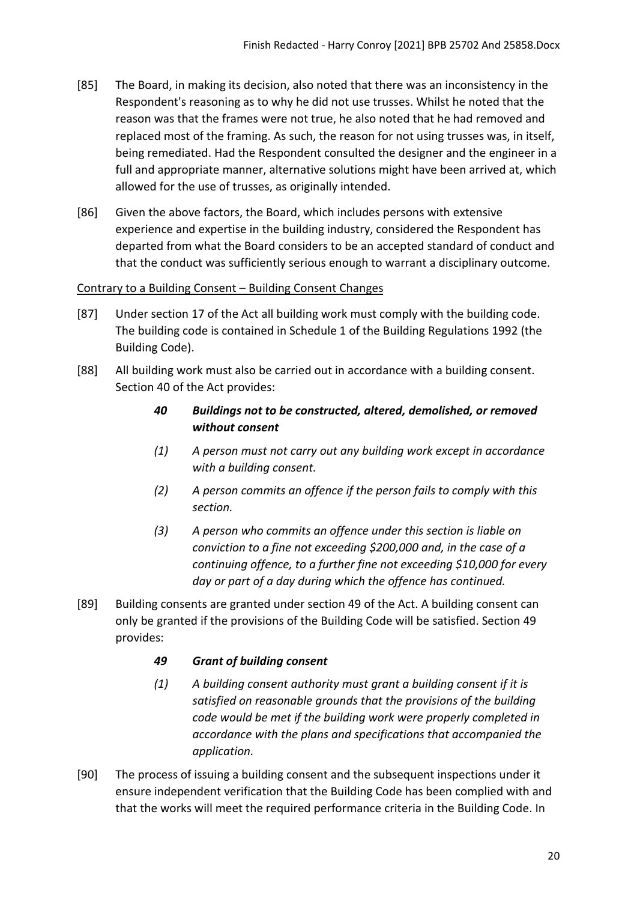- [85] The Board, in making its decision, also noted that there was an inconsistency in the Respondent's reasoning as to why he did not use trusses. Whilst he noted that the reason was that the frames were not true, he also noted that he had removed and replaced most of the framing. As such, the reason for not using trusses was, in itself, being remediated. Had the Respondent consulted the designer and the engineer in a full and appropriate manner, alternative solutions might have been arrived at, which allowed for the use of trusses, as originally intended.
- [86] Given the above factors, the Board, which includes persons with extensive experience and expertise in the building industry, considered the Respondent has departed from what the Board considers to be an accepted standard of conduct and that the conduct was sufficiently serious enough to warrant a disciplinary outcome.

## <span id="page-19-0"></span>Contrary to a Building Consent – Building Consent Changes

- [87] Under section 17 of the Act all building work must comply with the building code. The building code is contained in Schedule 1 of the Building Regulations 1992 (the Building Code).
- [88] All building work must also be carried out in accordance with a building consent. Section 40 of the Act provides:
	- *40 Buildings not to be constructed, altered, demolished, or removed without consent*
	- *(1) A person must not carry out any building work except in accordance with a building consent.*
	- *(2) A person commits an offence if the person fails to comply with this section.*
	- *(3) A person who commits an offence under this section is liable on conviction to a fine not exceeding \$200,000 and, in the case of a continuing offence, to a further fine not exceeding \$10,000 for every day or part of a day during which the offence has continued.*
- [89] Building consents are granted under section 49 of the Act. A building consent can only be granted if the provisions of the Building Code will be satisfied. Section 49 provides:

# *49 Grant of building consent*

- *(1) A building consent authority must grant a building consent if it is satisfied on reasonable grounds that the provisions of the building code would be met if the building work were properly completed in accordance with the plans and specifications that accompanied the application.*
- [90] The process of issuing a building consent and the subsequent inspections under it ensure independent verification that the Building Code has been complied with and that the works will meet the required performance criteria in the Building Code. In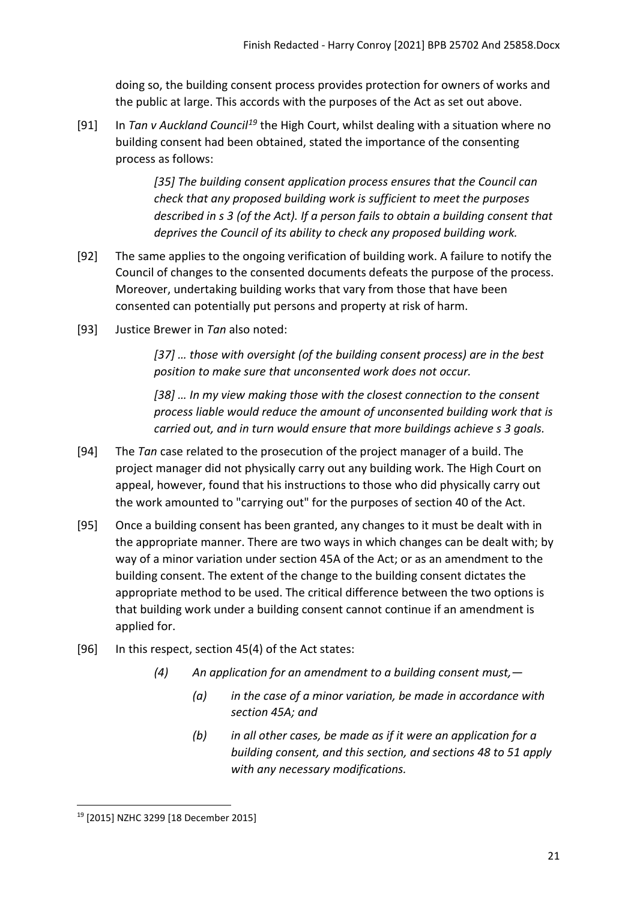doing so, the building consent process provides protection for owners of works and the public at large. This accords with the purposes of the Act as set out above.

[91] In *Tan v Auckland Council[19](#page-20-0)* the High Court, whilst dealing with a situation where no building consent had been obtained, stated the importance of the consenting process as follows:

> *[35] The building consent application process ensures that the Council can check that any proposed building work is sufficient to meet the purposes described in s 3 (of the Act). If a person fails to obtain a building consent that deprives the Council of its ability to check any proposed building work.*

- [92] The same applies to the ongoing verification of building work. A failure to notify the Council of changes to the consented documents defeats the purpose of the process. Moreover, undertaking building works that vary from those that have been consented can potentially put persons and property at risk of harm.
- [93] Justice Brewer in *Tan* also noted:

*[37] … those with oversight (of the building consent process) are in the best position to make sure that unconsented work does not occur.* 

*[38] … In my view making those with the closest connection to the consent process liable would reduce the amount of unconsented building work that is carried out, and in turn would ensure that more buildings achieve s 3 goals.*

- [94] The *Tan* case related to the prosecution of the project manager of a build. The project manager did not physically carry out any building work. The High Court on appeal, however, found that his instructions to those who did physically carry out the work amounted to "carrying out" for the purposes of section 40 of the Act.
- [95] Once a building consent has been granted, any changes to it must be dealt with in the appropriate manner. There are two ways in which changes can be dealt with; by way of a minor variation under section 45A of the Act; or as an amendment to the building consent. The extent of the change to the building consent dictates the appropriate method to be used. The critical difference between the two options is that building work under a building consent cannot continue if an amendment is applied for.
- [96] In this respect, section 45(4) of the Act states:
	- *(4) An application for an amendment to a building consent must,—* 
		- *(a) in the case of a minor variation, be made in accordance with section 45A; and*
		- *(b) in all other cases, be made as if it were an application for a building consent, and this section, and sections 48 to 51 apply with any necessary modifications.*

<span id="page-20-0"></span><sup>19</sup> [2015] NZHC 3299 [18 December 2015]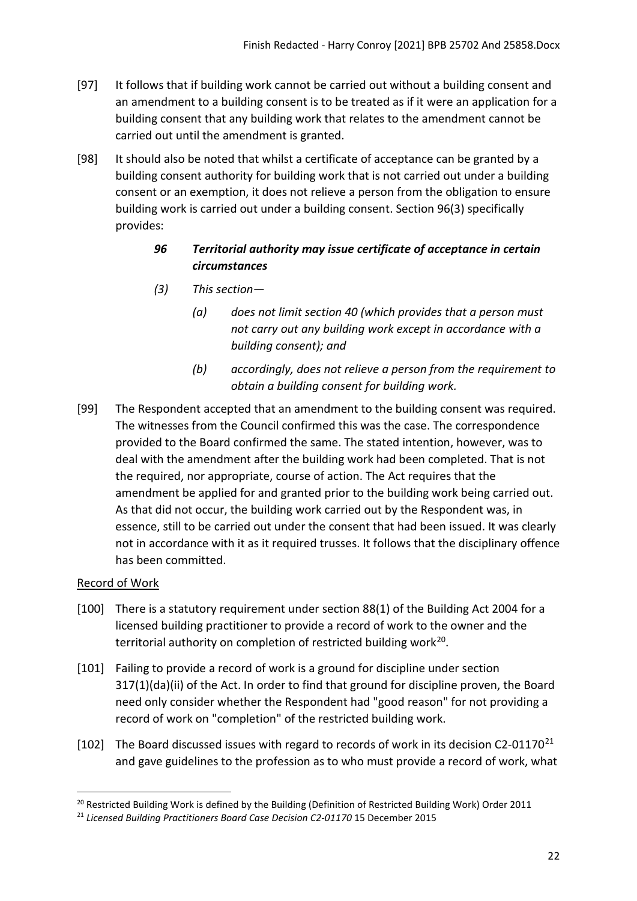- [97] It follows that if building work cannot be carried out without a building consent and an amendment to a building consent is to be treated as if it were an application for a building consent that any building work that relates to the amendment cannot be carried out until the amendment is granted.
- [98] It should also be noted that whilst a certificate of acceptance can be granted by a building consent authority for building work that is not carried out under a building consent or an exemption, it does not relieve a person from the obligation to ensure building work is carried out under a building consent. Section 96(3) specifically provides:

# *96 Territorial authority may issue certificate of acceptance in certain circumstances*

- *(3) This section—* 
	- *(a) does not limit section 40 (which provides that a person must not carry out any building work except in accordance with a building consent); and*
	- *(b) accordingly, does not relieve a person from the requirement to obtain a building consent for building work.*
- [99] The Respondent accepted that an amendment to the building consent was required. The witnesses from the Council confirmed this was the case. The correspondence provided to the Board confirmed the same. The stated intention, however, was to deal with the amendment after the building work had been completed. That is not the required, nor appropriate, course of action. The Act requires that the amendment be applied for and granted prior to the building work being carried out. As that did not occur, the building work carried out by the Respondent was, in essence, still to be carried out under the consent that had been issued. It was clearly not in accordance with it as it required trusses. It follows that the disciplinary offence has been committed.

# <span id="page-21-0"></span>Record of Work

- [100] There is a statutory requirement under section 88(1) of the Building Act 2004 for a licensed building practitioner to provide a record of work to the owner and the territorial authority on completion of restricted building work<sup>20</sup>.
- [101] Failing to provide a record of work is a ground for discipline under section 317(1)(da)(ii) of the Act. In order to find that ground for discipline proven, the Board need only consider whether the Respondent had "good reason" for not providing a record of work on "completion" of the restricted building work.
- [102] The Board discussed issues with regard to records of work in its decision C2-01170<sup>[21](#page-21-2)</sup> and gave guidelines to the profession as to who must provide a record of work, what

<span id="page-21-1"></span><sup>&</sup>lt;sup>20</sup> Restricted Building Work is defined by the Building (Definition of Restricted Building Work) Order 2011

<span id="page-21-2"></span><sup>&</sup>lt;sup>21</sup> Licensed Building Practitioners Board Case Decision C2-01170 15 December 2015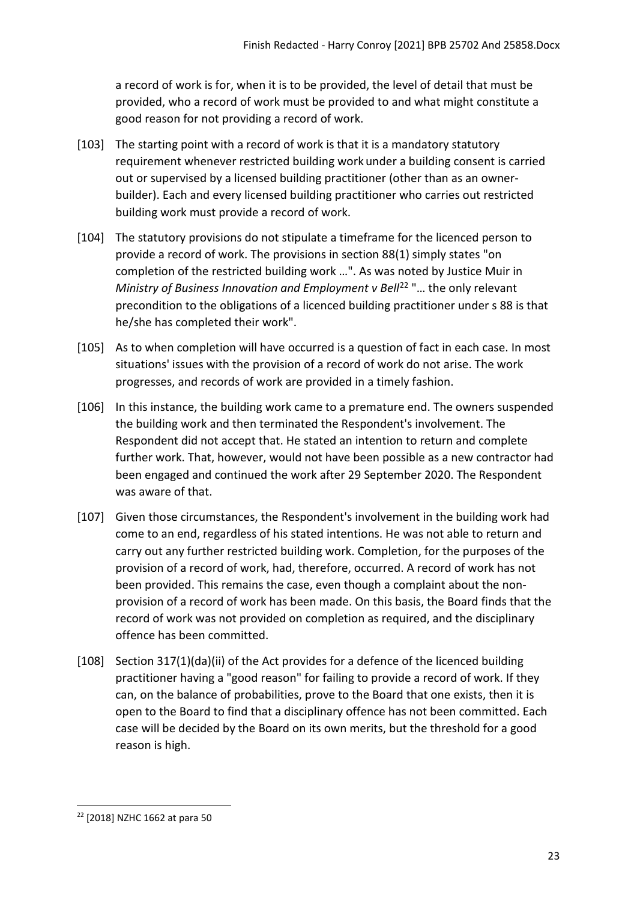a record of work is for, when it is to be provided, the level of detail that must be provided, who a record of work must be provided to and what might constitute a good reason for not providing a record of work.

- [103] The starting point with a record of work is that it is a mandatory statutory requirement whenever restricted building work under a building consent is carried out or supervised by a licensed building practitioner (other than as an ownerbuilder). Each and every licensed building practitioner who carries out restricted building work must provide a record of work.
- [104] The statutory provisions do not stipulate a timeframe for the licenced person to provide a record of work. The provisions in section 88(1) simply states "on completion of the restricted building work …". As was noted by Justice Muir in *Ministry of Business Innovation and Employment v Bell<sup>22</sup> "... the only relevant* precondition to the obligations of a licenced building practitioner under s 88 is that he/she has completed their work".
- [105] As to when completion will have occurred is a question of fact in each case. In most situations' issues with the provision of a record of work do not arise. The work progresses, and records of work are provided in a timely fashion.
- [106] In this instance, the building work came to a premature end. The owners suspended the building work and then terminated the Respondent's involvement. The Respondent did not accept that. He stated an intention to return and complete further work. That, however, would not have been possible as a new contractor had been engaged and continued the work after 29 September 2020. The Respondent was aware of that.
- [107] Given those circumstances, the Respondent's involvement in the building work had come to an end, regardless of his stated intentions. He was not able to return and carry out any further restricted building work. Completion, for the purposes of the provision of a record of work, had, therefore, occurred. A record of work has not been provided. This remains the case, even though a complaint about the nonprovision of a record of work has been made. On this basis, the Board finds that the record of work was not provided on completion as required, and the disciplinary offence has been committed.
- [108] Section 317(1)(da)(ii) of the Act provides for a defence of the licenced building practitioner having a "good reason" for failing to provide a record of work. If they can, on the balance of probabilities, prove to the Board that one exists, then it is open to the Board to find that a disciplinary offence has not been committed. Each case will be decided by the Board on its own merits, but the threshold for a good reason is high.

<span id="page-22-0"></span><sup>22</sup> [2018] NZHC 1662 at para 50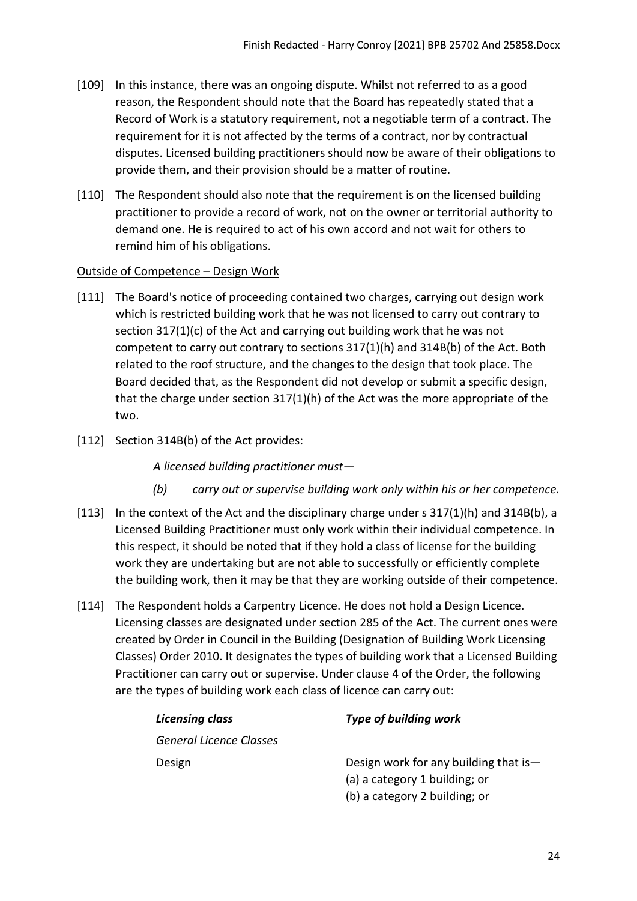- [109] In this instance, there was an ongoing dispute. Whilst not referred to as a good reason, the Respondent should note that the Board has repeatedly stated that a Record of Work is a statutory requirement, not a negotiable term of a contract. The requirement for it is not affected by the terms of a contract, nor by contractual disputes. Licensed building practitioners should now be aware of their obligations to provide them, and their provision should be a matter of routine.
- [110] The Respondent should also note that the requirement is on the licensed building practitioner to provide a record of work, not on the owner or territorial authority to demand one. He is required to act of his own accord and not wait for others to remind him of his obligations.

#### <span id="page-23-0"></span>Outside of Competence – Design Work

- [111] The Board's notice of proceeding contained two charges, carrying out design work which is restricted building work that he was not licensed to carry out contrary to section 317(1)(c) of the Act and carrying out building work that he was not competent to carry out contrary to sections 317(1)(h) and 314B(b) of the Act. Both related to the roof structure, and the changes to the design that took place. The Board decided that, as the Respondent did not develop or submit a specific design, that the charge under section 317(1)(h) of the Act was the more appropriate of the two.
- [112] Section 314B(b) of the Act provides:

*A licensed building practitioner must—* 

- *(b) carry out or supervise building work only within his or her competence.*
- [113] In the context of the Act and the disciplinary charge under s 317(1)(h) and 314B(b), a Licensed Building Practitioner must only work within their individual competence. In this respect, it should be noted that if they hold a class of license for the building work they are undertaking but are not able to successfully or efficiently complete the building work, then it may be that they are working outside of their competence.
- [114] The Respondent holds a Carpentry Licence. He does not hold a Design Licence. Licensing classes are designated under section 285 of the Act. The current ones were created by Order in Council in the Building (Designation of Building Work Licensing Classes) Order 2010. It designates the types of building work that a Licensed Building Practitioner can carry out or supervise. Under clause 4 of the Order, the following are the types of building work each class of licence can carry out:

| <b>Licensing class</b>         | <b>Type of building work</b>          |
|--------------------------------|---------------------------------------|
| <b>General Licence Classes</b> |                                       |
| Design                         | Design work for any building that is- |
|                                | (a) a category 1 building; or         |
|                                | (b) a category 2 building; or         |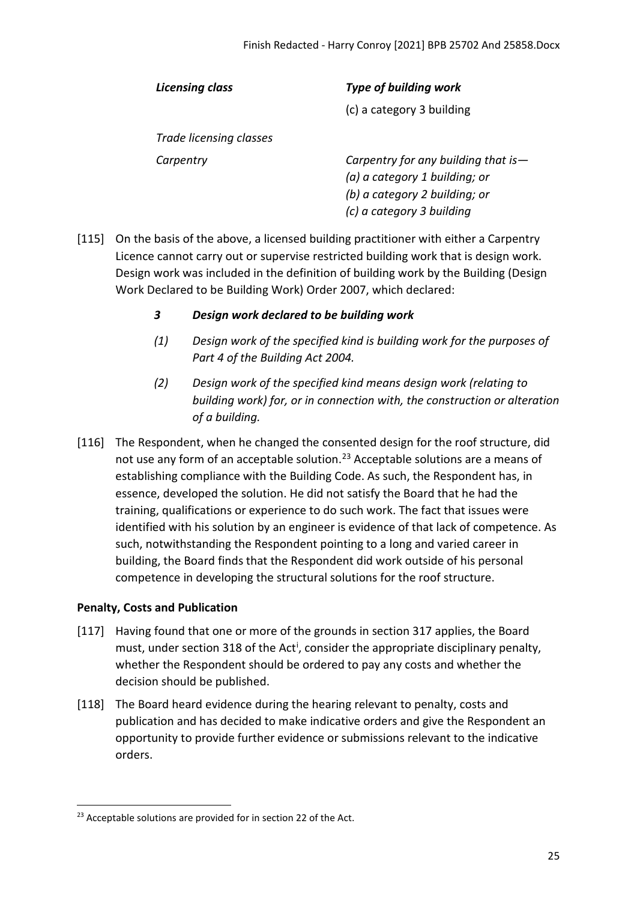| Licensing class         | <b>Type of building work</b>                                                                                                          |
|-------------------------|---------------------------------------------------------------------------------------------------------------------------------------|
|                         | (c) a category 3 building                                                                                                             |
| Trade licensing classes |                                                                                                                                       |
| Carpentry               | Carpentry for any building that is $-$<br>(a) a category 1 building; or<br>(b) a category 2 building; or<br>(c) a category 3 building |

- [115] On the basis of the above, a licensed building practitioner with either a Carpentry Licence cannot carry out or supervise restricted building work that is design work. Design work was included in the definition of building work by the Building (Design Work Declared to be Building Work) Order 2007, which declared:
	- *3 Design work declared to be building work*
	- *(1) Design work of the specified kind is building work for the purposes of Part 4 of the Building Act 2004.*
	- *(2) Design work of the specified kind means design work (relating to building work) for, or in connection with, the construction or alteration of a building.*
- [116] The Respondent, when he changed the consented design for the roof structure, did not use any form of an acceptable solution.<sup>[23](#page-24-1)</sup> Acceptable solutions are a means of establishing compliance with the Building Code. As such, the Respondent has, in essence, developed the solution. He did not satisfy the Board that he had the training, qualifications or experience to do such work. The fact that issues were identified with his solution by an engineer is evidence of that lack of competence. As such, notwithstanding the Respondent pointing to a long and varied career in building, the Board finds that the Respondent did work outside of his personal competence in developing the structural solutions for the roof structure.

### <span id="page-24-0"></span>**Penalty, Costs and Publication**

- [117] Having found that one or more of the grounds in section 317 applies, the Board must, under sect[i](#page-29-1)on 318 of the Act<sup>i</sup>, consider the appropriate disciplinary penalty, whether the Respondent should be ordered to pay any costs and whether the decision should be published.
- [118] The Board heard evidence during the hearing relevant to penalty, costs and publication and has decided to make indicative orders and give the Respondent an opportunity to provide further evidence or submissions relevant to the indicative orders.

<span id="page-24-1"></span> $23$  Acceptable solutions are provided for in section 22 of the Act.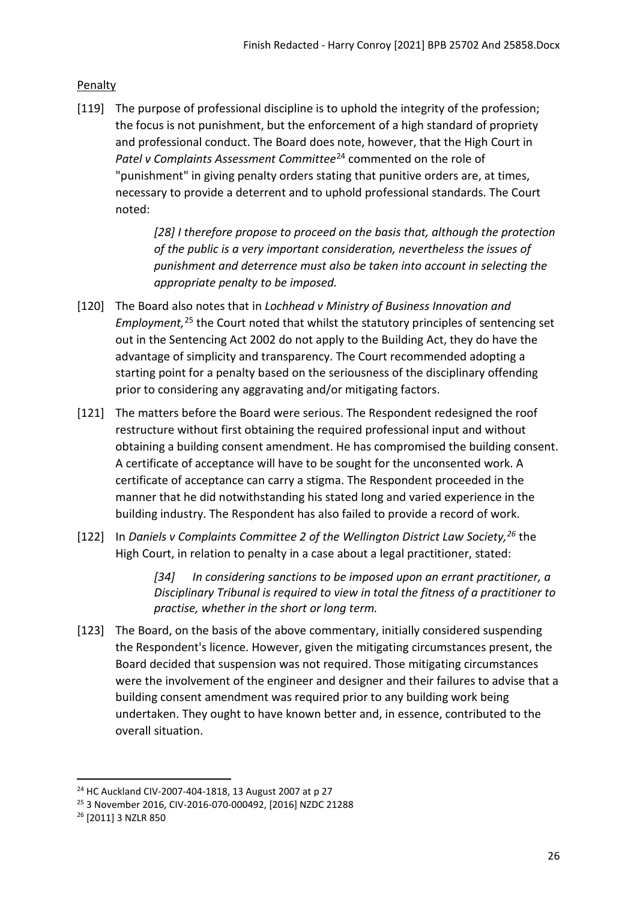# <span id="page-25-0"></span>Penalty

[119] The purpose of professional discipline is to uphold the integrity of the profession; the focus is not punishment, but the enforcement of a high standard of propriety and professional conduct. The Board does note, however, that the High Court in *Patel v Complaints Assessment Committee*[24](#page-25-1) commented on the role of "punishment" in giving penalty orders stating that punitive orders are, at times, necessary to provide a deterrent and to uphold professional standards. The Court noted:

> *[28] I therefore propose to proceed on the basis that, although the protection of the public is a very important consideration, nevertheless the issues of punishment and deterrence must also be taken into account in selecting the appropriate penalty to be imposed.*

- [120] The Board also notes that in *Lochhead v Ministry of Business Innovation and Employment,* [25](#page-25-2) the Court noted that whilst the statutory principles of sentencing set out in the Sentencing Act 2002 do not apply to the Building Act, they do have the advantage of simplicity and transparency. The Court recommended adopting a starting point for a penalty based on the seriousness of the disciplinary offending prior to considering any aggravating and/or mitigating factors.
- [121] The matters before the Board were serious. The Respondent redesigned the roof restructure without first obtaining the required professional input and without obtaining a building consent amendment. He has compromised the building consent. A certificate of acceptance will have to be sought for the unconsented work. A certificate of acceptance can carry a stigma. The Respondent proceeded in the manner that he did notwithstanding his stated long and varied experience in the building industry. The Respondent has also failed to provide a record of work.
- [122] In *Daniels v Complaints Committee 2 of the Wellington District Law Society, [26](#page-25-3)* the High Court, in relation to penalty in a case about a legal practitioner, stated:

*[34] In considering sanctions to be imposed upon an errant practitioner, a Disciplinary Tribunal is required to view in total the fitness of a practitioner to practise, whether in the short or long term.* 

[123] The Board, on the basis of the above commentary, initially considered suspending the Respondent's licence. However, given the mitigating circumstances present, the Board decided that suspension was not required. Those mitigating circumstances were the involvement of the engineer and designer and their failures to advise that a building consent amendment was required prior to any building work being undertaken. They ought to have known better and, in essence, contributed to the overall situation.

<span id="page-25-1"></span><sup>&</sup>lt;sup>24</sup> HC Auckland CIV-2007-404-1818, 13 August 2007 at p 27

<span id="page-25-2"></span><sup>25</sup> 3 November 2016, CIV-2016-070-000492, [2016] NZDC 21288

<span id="page-25-3"></span><sup>26</sup> [2011] 3 NZLR 850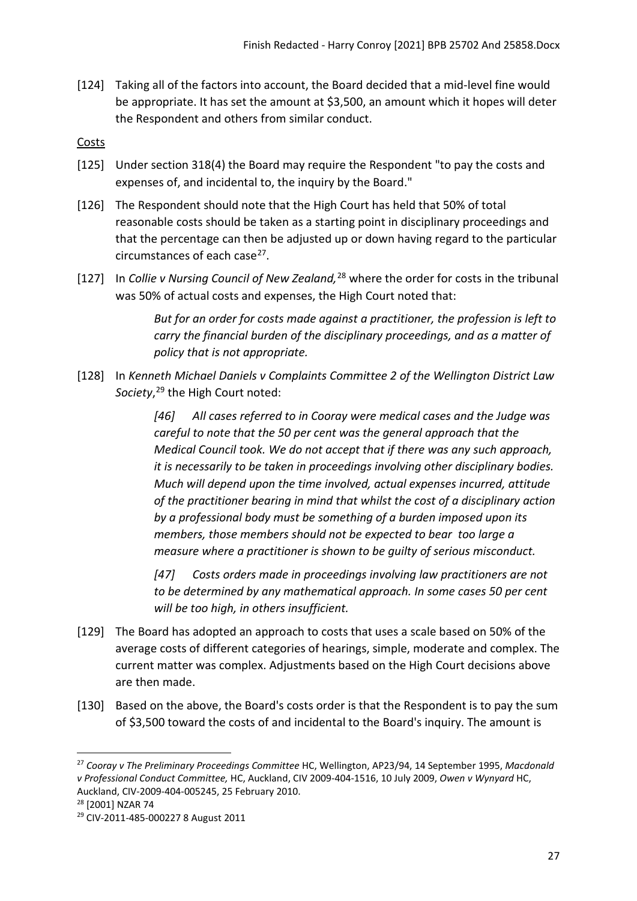[124] Taking all of the factors into account, the Board decided that a mid-level fine would be appropriate. It has set the amount at \$3,500, an amount which it hopes will deter the Respondent and others from similar conduct.

### <span id="page-26-0"></span>Costs

- [125] Under section 318(4) the Board may require the Respondent "to pay the costs and expenses of, and incidental to, the inquiry by the Board."
- [126] The Respondent should note that the High Court has held that 50% of total reasonable costs should be taken as a starting point in disciplinary proceedings and that the percentage can then be adjusted up or down having regard to the particular circumstances of each case<sup>27</sup>.
- [127] In *Collie v Nursing Council of New Zealand,*[28](#page-26-2) where the order for costs in the tribunal was 50% of actual costs and expenses, the High Court noted that:

*But for an order for costs made against a practitioner, the profession is left to carry the financial burden of the disciplinary proceedings, and as a matter of policy that is not appropriate.*

[128] In *Kenneth Michael Daniels v Complaints Committee 2 of the Wellington District Law Society*, [29](#page-26-3) the High Court noted:

> *[46] All cases referred to in Cooray were medical cases and the Judge was careful to note that the 50 per cent was the general approach that the Medical Council took. We do not accept that if there was any such approach, it is necessarily to be taken in proceedings involving other disciplinary bodies. Much will depend upon the time involved, actual expenses incurred, attitude of the practitioner bearing in mind that whilst the cost of a disciplinary action by a professional body must be something of a burden imposed upon its members, those members should not be expected to bear too large a measure where a practitioner is shown to be guilty of serious misconduct.*

*[47] Costs orders made in proceedings involving law practitioners are not to be determined by any mathematical approach. In some cases 50 per cent will be too high, in others insufficient.*

- [129] The Board has adopted an approach to costs that uses a scale based on 50% of the average costs of different categories of hearings, simple, moderate and complex. The current matter was complex. Adjustments based on the High Court decisions above are then made.
- [130] Based on the above, the Board's costs order is that the Respondent is to pay the sum of \$3,500 toward the costs of and incidental to the Board's inquiry. The amount is

<span id="page-26-1"></span><sup>27</sup> *Cooray v The Preliminary Proceedings Committee* HC, Wellington, AP23/94, 14 September 1995, *Macdonald v Professional Conduct Committee,* HC, Auckland, CIV 2009-404-1516, 10 July 2009, *Owen v Wynyard* HC, Auckland, CIV-2009-404-005245, 25 February 2010. 28 [2001] NZAR 74

<span id="page-26-2"></span>

<span id="page-26-3"></span><sup>29</sup> CIV-2011-485-000227 8 August 2011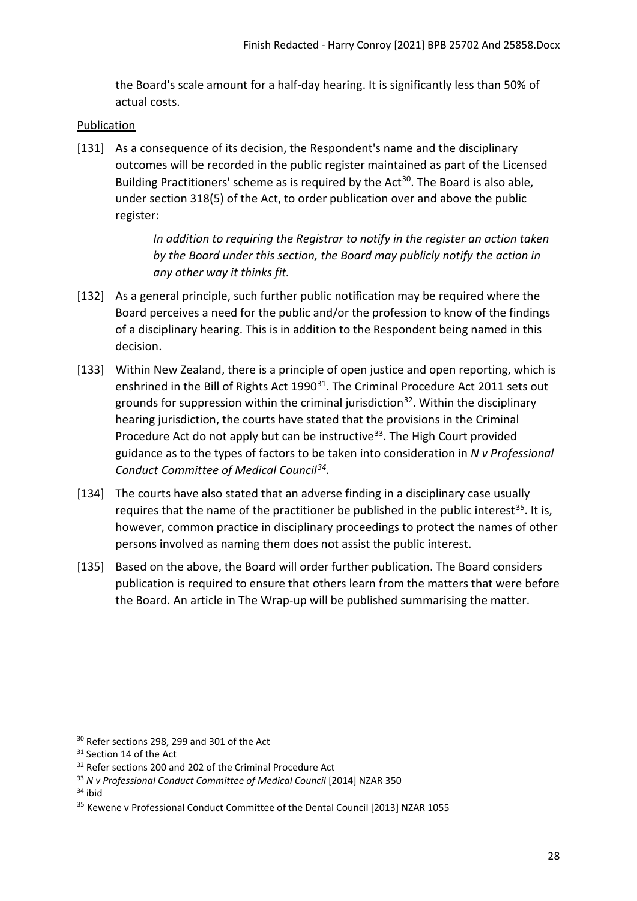the Board's scale amount for a half-day hearing. It is significantly less than 50% of actual costs.

## <span id="page-27-0"></span>Publication

[131] As a consequence of its decision, the Respondent's name and the disciplinary outcomes will be recorded in the public register maintained as part of the Licensed Building Practitioners' scheme as is required by the Act<sup>[30](#page-27-1)</sup>. The Board is also able, under section 318(5) of the Act, to order publication over and above the public register:

> *In addition to requiring the Registrar to notify in the register an action taken by the Board under this section, the Board may publicly notify the action in any other way it thinks fit.*

- [132] As a general principle, such further public notification may be required where the Board perceives a need for the public and/or the profession to know of the findings of a disciplinary hearing. This is in addition to the Respondent being named in this decision.
- [133] Within New Zealand, there is a principle of open justice and open reporting, which is enshrined in the Bill of Rights Act 1990<sup>31</sup>. The Criminal Procedure Act 2011 sets out grounds for suppression within the criminal jurisdiction<sup>32</sup>. Within the disciplinary hearing jurisdiction, the courts have stated that the provisions in the Criminal Procedure Act do not apply but can be instructive<sup>[33](#page-27-4)</sup>. The High Court provided guidance as to the types of factors to be taken into consideration in *N v Professional Conduct Committee of Medical Council[34](#page-27-5).*
- [134] The courts have also stated that an adverse finding in a disciplinary case usually requires that the name of the practitioner be published in the public interest<sup>[35](#page-27-6)</sup>. It is, however, common practice in disciplinary proceedings to protect the names of other persons involved as naming them does not assist the public interest.
- [135] Based on the above, the Board will order further publication. The Board considers publication is required to ensure that others learn from the matters that were before the Board. An article in The Wrap-up will be published summarising the matter.

<span id="page-27-5"></span> $34$  ibid

<span id="page-27-1"></span><sup>&</sup>lt;sup>30</sup> Refer sections 298, 299 and 301 of the Act

<span id="page-27-2"></span><sup>&</sup>lt;sup>31</sup> Section 14 of the Act

<span id="page-27-3"></span><sup>&</sup>lt;sup>32</sup> Refer sections 200 and 202 of the Criminal Procedure Act

<span id="page-27-4"></span><sup>33</sup> *N v Professional Conduct Committee of Medical Council* [2014] NZAR 350

<span id="page-27-6"></span><sup>&</sup>lt;sup>35</sup> Kewene v Professional Conduct Committee of the Dental Council [2013] NZAR 1055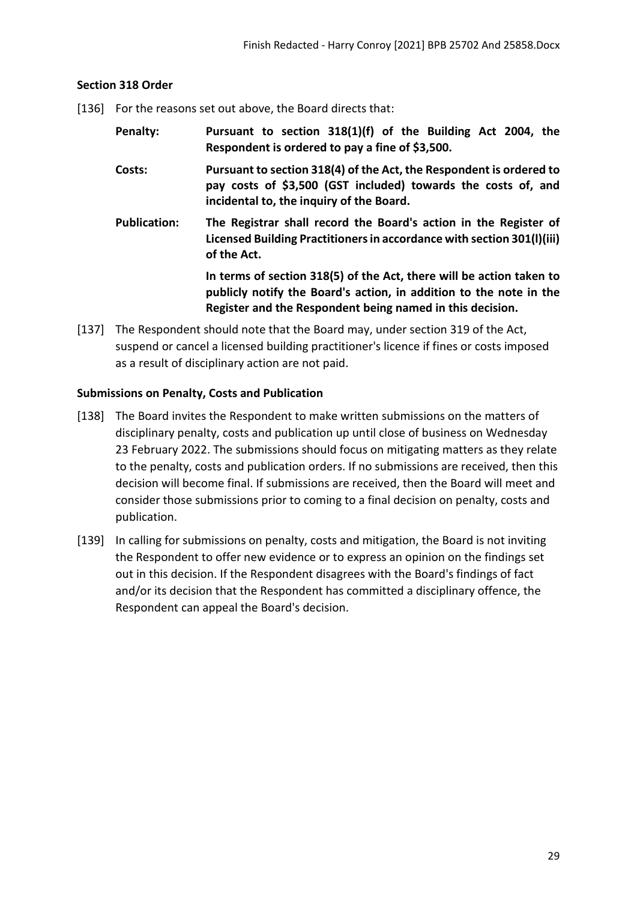#### <span id="page-28-0"></span>**Section 318 Order**

- [136] For the reasons set out above, the Board directs that:
	- **Penalty: Pursuant to section 318(1)(f) of the Building Act 2004, the Respondent is ordered to pay a fine of \$3,500.**
	- **Costs: Pursuant to section 318(4) of the Act, the Respondent is ordered to pay costs of \$3,500 (GST included) towards the costs of, and incidental to, the inquiry of the Board.**
	- **Publication: The Registrar shall record the Board's action in the Register of Licensed Building Practitioners in accordance with section 301(l)(iii) of the Act.**

**In terms of section 318(5) of the Act, there will be action taken to publicly notify the Board's action, in addition to the note in the Register and the Respondent being named in this decision.**

[137] The Respondent should note that the Board may, under section 319 of the Act, suspend or cancel a licensed building practitioner's licence if fines or costs imposed as a result of disciplinary action are not paid.

### <span id="page-28-1"></span>**Submissions on Penalty, Costs and Publication**

- [138] The Board invites the Respondent to make written submissions on the matters of disciplinary penalty, costs and publication up until close of business on Wednesday 23 February 2022. The submissions should focus on mitigating matters as they relate to the penalty, costs and publication orders. If no submissions are received, then this decision will become final. If submissions are received, then the Board will meet and consider those submissions prior to coming to a final decision on penalty, costs and publication.
- [139] In calling for submissions on penalty, costs and mitigation, the Board is not inviting the Respondent to offer new evidence or to express an opinion on the findings set out in this decision. If the Respondent disagrees with the Board's findings of fact and/or its decision that the Respondent has committed a disciplinary offence, the Respondent can appeal the Board's decision.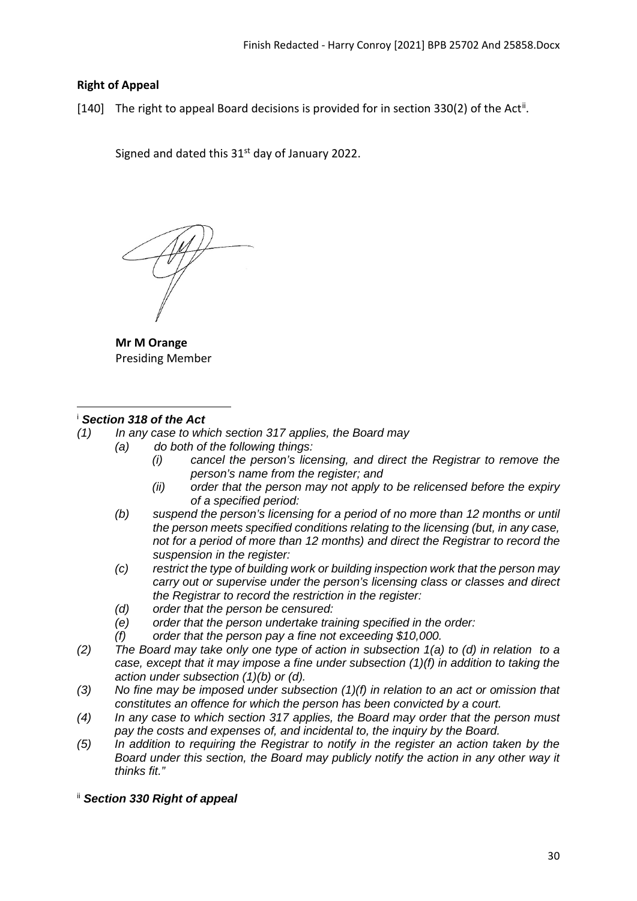## <span id="page-29-0"></span>**Right of Appeal**

[140] The right to appeal Board decisions is provided for in section 330(2) of the Act<sup>[ii](#page-29-2)</sup>.

Signed and dated this  $31<sup>st</sup>$  day of January 2022.

**Mr M Orange**  Presiding Member

#### <span id="page-29-1"></span><sup>i</sup> *Section 318 of the Act*

*(1) In any case to which section 317 applies, the Board may*

- *(a) do both of the following things:*
	- *(i) cancel the person's licensing, and direct the Registrar to remove the person's name from the register; and*
	- *(ii) order that the person may not apply to be relicensed before the expiry of a specified period:*
	- *(b) suspend the person's licensing for a period of no more than 12 months or until the person meets specified conditions relating to the licensing (but, in any case, not for a period of more than 12 months) and direct the Registrar to record the suspension in the register:*
	- *(c) restrict the type of building work or building inspection work that the person may carry out or supervise under the person's licensing class or classes and direct the Registrar to record the restriction in the register:*
	- *(d) order that the person be censured:*
	- *(e) order that the person undertake training specified in the order:*
	- *(f) order that the person pay a fine not exceeding \$10,000.*
- *(2) The Board may take only one type of action in subsection 1(a) to (d) in relation to a case, except that it may impose a fine under subsection (1)(f) in addition to taking the action under subsection (1)(b) or (d).*
- *(3) No fine may be imposed under subsection (1)(f) in relation to an act or omission that constitutes an offence for which the person has been convicted by a court.*
- *(4) In any case to which section 317 applies, the Board may order that the person must pay the costs and expenses of, and incidental to, the inquiry by the Board.*
- *(5) In addition to requiring the Registrar to notify in the register an action taken by the Board under this section, the Board may publicly notify the action in any other way it thinks fit."*
- <span id="page-29-2"></span>ii *Section 330 Right of appeal*